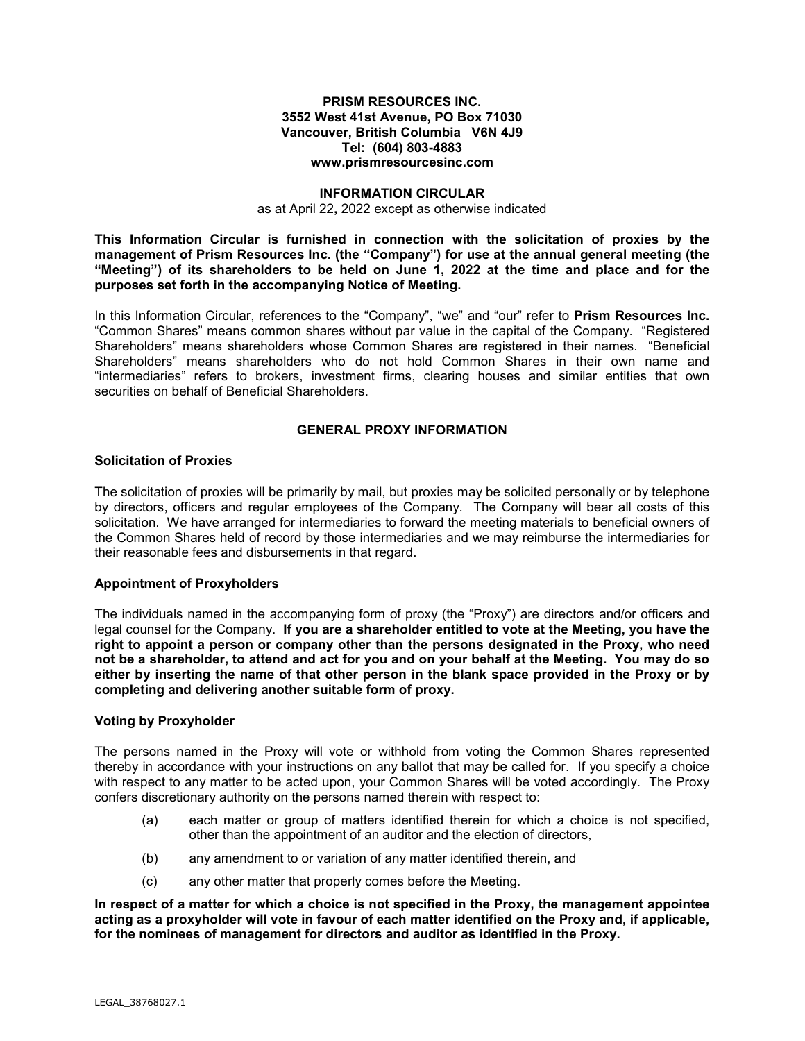## **PRISM RESOURCES INC. 3552 West 41st Avenue, PO Box 71030 Vancouver, British Columbia V6N 4J9 Tel: (604) 803-4883 www.prismresourcesinc.com**

#### **INFORMATION CIRCULAR**

as at April 22**,** 2022 except as otherwise indicated

**This Information Circular is furnished in connection with the solicitation of proxies by the management of Prism Resources Inc. (the "Company") for use at the annual general meeting (the "Meeting") of its shareholders to be held on June 1, 2022 at the time and place and for the purposes set forth in the accompanying Notice of Meeting.**

In this Information Circular, references to the "Company", "we" and "our" refer to **Prism Resources Inc.** "Common Shares" means common shares without par value in the capital of the Company. "Registered Shareholders" means shareholders whose Common Shares are registered in their names. "Beneficial Shareholders" means shareholders who do not hold Common Shares in their own name and "intermediaries" refers to brokers, investment firms, clearing houses and similar entities that own securities on behalf of Beneficial Shareholders.

## **GENERAL PROXY INFORMATION**

#### **Solicitation of Proxies**

The solicitation of proxies will be primarily by mail, but proxies may be solicited personally or by telephone by directors, officers and regular employees of the Company. The Company will bear all costs of this solicitation. We have arranged for intermediaries to forward the meeting materials to beneficial owners of the Common Shares held of record by those intermediaries and we may reimburse the intermediaries for their reasonable fees and disbursements in that regard.

## **Appointment of Proxyholders**

The individuals named in the accompanying form of proxy (the "Proxy") are directors and/or officers and legal counsel for the Company. **If you are a shareholder entitled to vote at the Meeting, you have the right to appoint a person or company other than the persons designated in the Proxy, who need not be a shareholder, to attend and act for you and on your behalf at the Meeting. You may do so either by inserting the name of that other person in the blank space provided in the Proxy or by completing and delivering another suitable form of proxy.**

#### **Voting by Proxyholder**

The persons named in the Proxy will vote or withhold from voting the Common Shares represented thereby in accordance with your instructions on any ballot that may be called for. If you specify a choice with respect to any matter to be acted upon, your Common Shares will be voted accordingly. The Proxy confers discretionary authority on the persons named therein with respect to:

- (a) each matter or group of matters identified therein for which a choice is not specified, other than the appointment of an auditor and the election of directors,
- (b) any amendment to or variation of any matter identified therein, and
- (c) any other matter that properly comes before the Meeting.

**In respect of a matter for which a choice is not specified in the Proxy, the management appointee acting as a proxyholder will vote in favour of each matter identified on the Proxy and, if applicable, for the nominees of management for directors and auditor as identified in the Proxy.**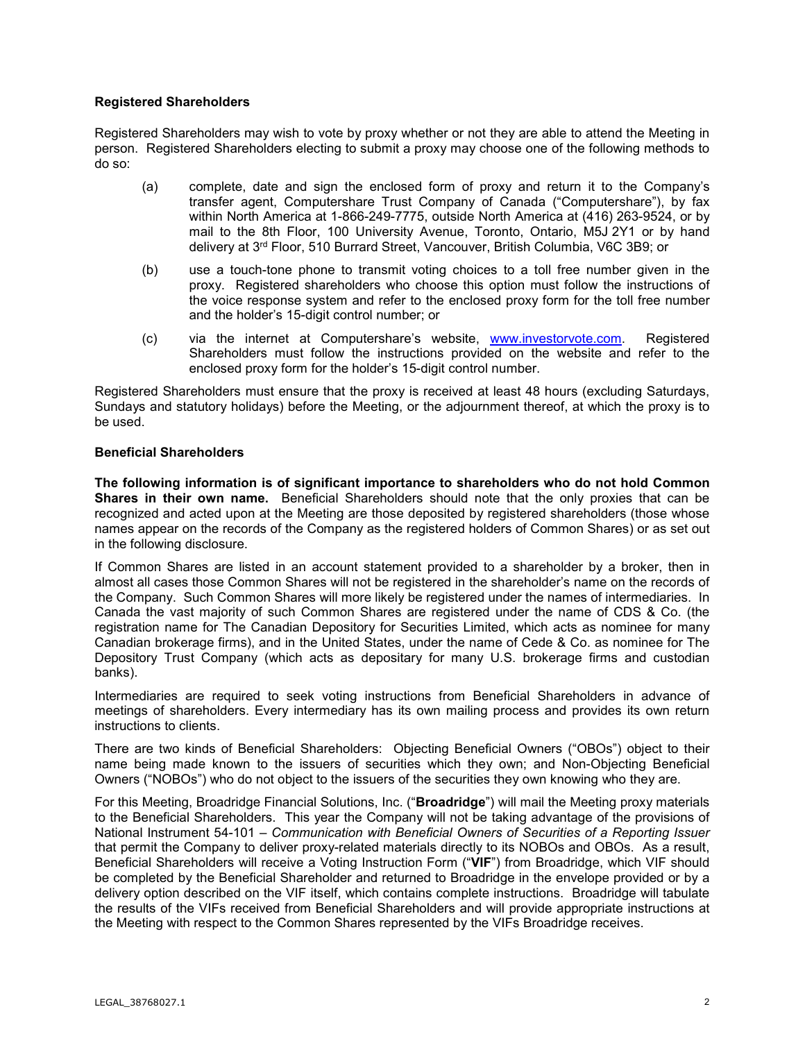## **Registered Shareholders**

Registered Shareholders may wish to vote by proxy whether or not they are able to attend the Meeting in person. Registered Shareholders electing to submit a proxy may choose one of the following methods to do so:

- (a) complete, date and sign the enclosed form of proxy and return it to the Company's transfer agent, Computershare Trust Company of Canada ("Computershare"), by fax within North America at 1-866-249-7775, outside North America at (416) 263-9524, or by mail to the 8th Floor, 100 University Avenue, Toronto, Ontario, M5J 2Y1 or by hand delivery at 3rd Floor, 510 Burrard Street, Vancouver, British Columbia, V6C 3B9; or
- (b) use a touch-tone phone to transmit voting choices to a toll free number given in the proxy. Registered shareholders who choose this option must follow the instructions of the voice response system and refer to the enclosed proxy form for the toll free number and the holder's 15-digit control number; or
- (c) via the internet at Computershare's website, [www.investorvote.com.](http://www.investorvote.com/) Registered Shareholders must follow the instructions provided on the website and refer to the enclosed proxy form for the holder's 15-digit control number.

Registered Shareholders must ensure that the proxy is received at least 48 hours (excluding Saturdays, Sundays and statutory holidays) before the Meeting, or the adjournment thereof, at which the proxy is to be used.

## **Beneficial Shareholders**

**The following information is of significant importance to shareholders who do not hold Common Shares in their own name.** Beneficial Shareholders should note that the only proxies that can be recognized and acted upon at the Meeting are those deposited by registered shareholders (those whose names appear on the records of the Company as the registered holders of Common Shares) or as set out in the following disclosure.

If Common Shares are listed in an account statement provided to a shareholder by a broker, then in almost all cases those Common Shares will not be registered in the shareholder's name on the records of the Company. Such Common Shares will more likely be registered under the names of intermediaries. In Canada the vast majority of such Common Shares are registered under the name of CDS & Co. (the registration name for The Canadian Depository for Securities Limited, which acts as nominee for many Canadian brokerage firms), and in the United States, under the name of Cede & Co. as nominee for The Depository Trust Company (which acts as depositary for many U.S. brokerage firms and custodian banks).

Intermediaries are required to seek voting instructions from Beneficial Shareholders in advance of meetings of shareholders. Every intermediary has its own mailing process and provides its own return instructions to clients.

There are two kinds of Beneficial Shareholders: Objecting Beneficial Owners ("OBOs") object to their name being made known to the issuers of securities which they own; and Non-Objecting Beneficial Owners ("NOBOs") who do not object to the issuers of the securities they own knowing who they are.

For this Meeting, Broadridge Financial Solutions, Inc. ("**Broadridge**") will mail the Meeting proxy materials to the Beneficial Shareholders. This year the Company will not be taking advantage of the provisions of National Instrument 54-101 – *Communication with Beneficial Owners of Securities of a Reporting Issuer* that permit the Company to deliver proxy-related materials directly to its NOBOs and OBOs. As a result, Beneficial Shareholders will receive a Voting Instruction Form ("**VIF**") from Broadridge, which VIF should be completed by the Beneficial Shareholder and returned to Broadridge in the envelope provided or by a delivery option described on the VIF itself, which contains complete instructions. Broadridge will tabulate the results of the VIFs received from Beneficial Shareholders and will provide appropriate instructions at the Meeting with respect to the Common Shares represented by the VIFs Broadridge receives.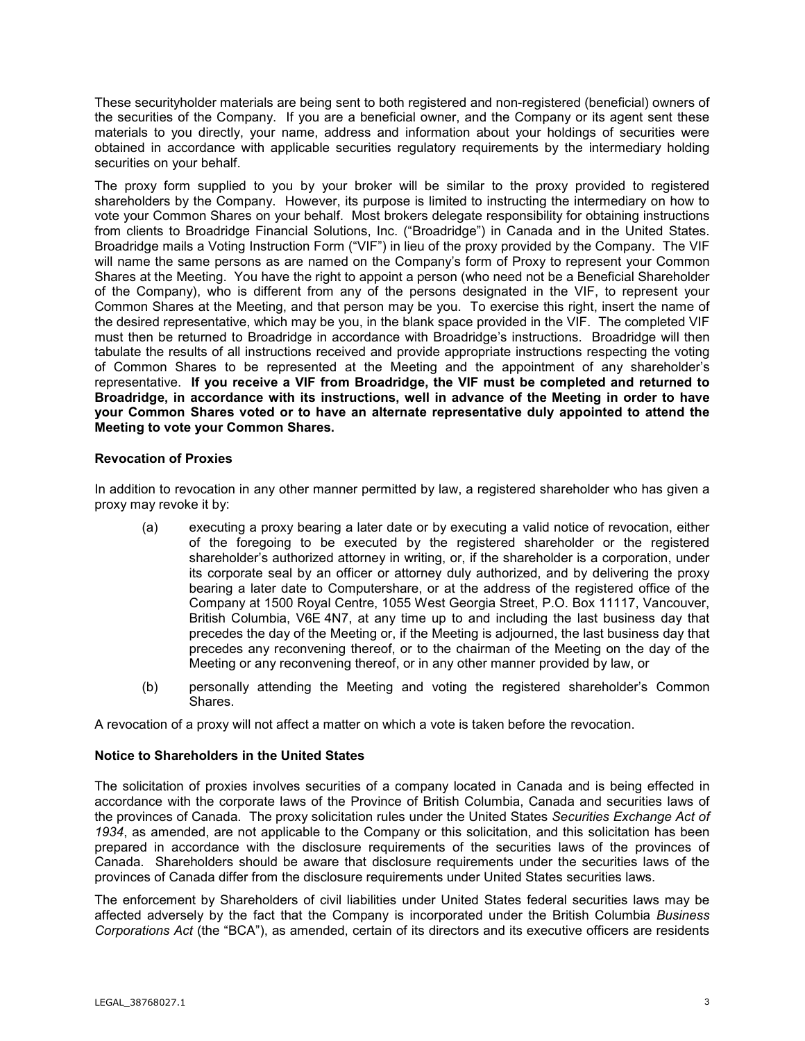These securityholder materials are being sent to both registered and non-registered (beneficial) owners of the securities of the Company. If you are a beneficial owner, and the Company or its agent sent these materials to you directly, your name, address and information about your holdings of securities were obtained in accordance with applicable securities regulatory requirements by the intermediary holding securities on your behalf.

The proxy form supplied to you by your broker will be similar to the proxy provided to registered shareholders by the Company. However, its purpose is limited to instructing the intermediary on how to vote your Common Shares on your behalf. Most brokers delegate responsibility for obtaining instructions from clients to Broadridge Financial Solutions, Inc. ("Broadridge") in Canada and in the United States. Broadridge mails a Voting Instruction Form ("VIF") in lieu of the proxy provided by the Company. The VIF will name the same persons as are named on the Company's form of Proxy to represent your Common Shares at the Meeting. You have the right to appoint a person (who need not be a Beneficial Shareholder of the Company), who is different from any of the persons designated in the VIF, to represent your Common Shares at the Meeting, and that person may be you. To exercise this right, insert the name of the desired representative, which may be you, in the blank space provided in the VIF. The completed VIF must then be returned to Broadridge in accordance with Broadridge's instructions. Broadridge will then tabulate the results of all instructions received and provide appropriate instructions respecting the voting of Common Shares to be represented at the Meeting and the appointment of any shareholder's representative. **If you receive a VIF from Broadridge, the VIF must be completed and returned to Broadridge, in accordance with its instructions, well in advance of the Meeting in order to have your Common Shares voted or to have an alternate representative duly appointed to attend the Meeting to vote your Common Shares.**

## **Revocation of Proxies**

In addition to revocation in any other manner permitted by law, a registered shareholder who has given a proxy may revoke it by:

- (a) executing a proxy bearing a later date or by executing a valid notice of revocation, either of the foregoing to be executed by the registered shareholder or the registered shareholder's authorized attorney in writing, or, if the shareholder is a corporation, under its corporate seal by an officer or attorney duly authorized, and by delivering the proxy bearing a later date to Computershare, or at the address of the registered office of the Company at 1500 Royal Centre, 1055 West Georgia Street, P.O. Box 11117, Vancouver, British Columbia, V6E 4N7, at any time up to and including the last business day that precedes the day of the Meeting or, if the Meeting is adjourned, the last business day that precedes any reconvening thereof, or to the chairman of the Meeting on the day of the Meeting or any reconvening thereof, or in any other manner provided by law, or
- (b) personally attending the Meeting and voting the registered shareholder's Common Shares.

A revocation of a proxy will not affect a matter on which a vote is taken before the revocation.

## **Notice to Shareholders in the United States**

The solicitation of proxies involves securities of a company located in Canada and is being effected in accordance with the corporate laws of the Province of British Columbia, Canada and securities laws of the provinces of Canada. The proxy solicitation rules under the United States *Securities Exchange Act of 1934*, as amended, are not applicable to the Company or this solicitation, and this solicitation has been prepared in accordance with the disclosure requirements of the securities laws of the provinces of Canada. Shareholders should be aware that disclosure requirements under the securities laws of the provinces of Canada differ from the disclosure requirements under United States securities laws.

The enforcement by Shareholders of civil liabilities under United States federal securities laws may be affected adversely by the fact that the Company is incorporated under the British Columbia *Business Corporations Act* (the "BCA"), as amended, certain of its directors and its executive officers are residents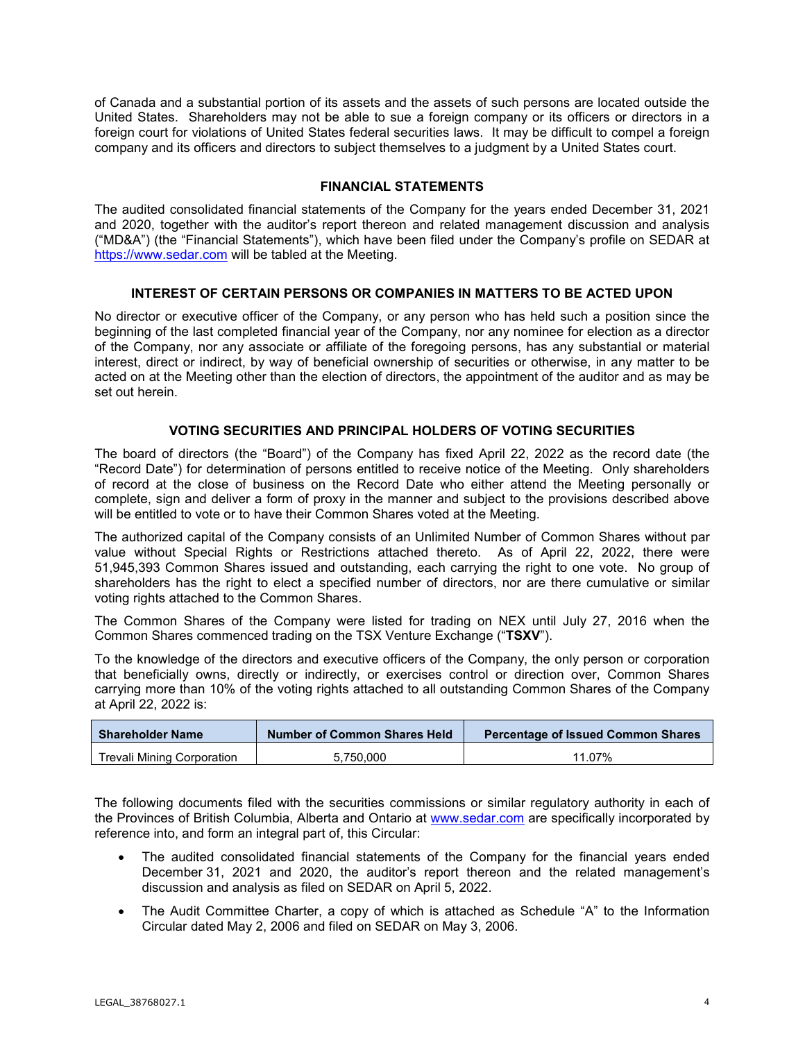of Canada and a substantial portion of its assets and the assets of such persons are located outside the United States. Shareholders may not be able to sue a foreign company or its officers or directors in a foreign court for violations of United States federal securities laws. It may be difficult to compel a foreign company and its officers and directors to subject themselves to a judgment by a United States court.

## **FINANCIAL STATEMENTS**

The audited consolidated financial statements of the Company for the years ended December 31, 2021 and 2020, together with the auditor's report thereon and related management discussion and analysis ("MD&A") (the "Financial Statements"), which have been filed under the Company's profile on SEDAR at [https://www.sedar.com](https://www.sedar.com/) will be tabled at the Meeting.

## **INTEREST OF CERTAIN PERSONS OR COMPANIES IN MATTERS TO BE ACTED UPON**

No director or executive officer of the Company, or any person who has held such a position since the beginning of the last completed financial year of the Company, nor any nominee for election as a director of the Company, nor any associate or affiliate of the foregoing persons, has any substantial or material interest, direct or indirect, by way of beneficial ownership of securities or otherwise, in any matter to be acted on at the Meeting other than the election of directors, the appointment of the auditor and as may be set out herein.

## **VOTING SECURITIES AND PRINCIPAL HOLDERS OF VOTING SECURITIES**

The board of directors (the "Board") of the Company has fixed April 22, 2022 as the record date (the "Record Date") for determination of persons entitled to receive notice of the Meeting. Only shareholders of record at the close of business on the Record Date who either attend the Meeting personally or complete, sign and deliver a form of proxy in the manner and subject to the provisions described above will be entitled to vote or to have their Common Shares voted at the Meeting.

The authorized capital of the Company consists of an Unlimited Number of Common Shares without par value without Special Rights or Restrictions attached thereto. As of April 22, 2022, there were 51,945,393 Common Shares issued and outstanding, each carrying the right to one vote. No group of shareholders has the right to elect a specified number of directors, nor are there cumulative or similar voting rights attached to the Common Shares.

The Common Shares of the Company were listed for trading on NEX until July 27, 2016 when the Common Shares commenced trading on the TSX Venture Exchange ("**TSXV**").

To the knowledge of the directors and executive officers of the Company, the only person or corporation that beneficially owns, directly or indirectly, or exercises control or direction over, Common Shares carrying more than 10% of the voting rights attached to all outstanding Common Shares of the Company at April 22, 2022 is:

| <b>Shareholder Name</b>    | Number of Common Shares Held | Percentage of Issued Common Shares |
|----------------------------|------------------------------|------------------------------------|
| Trevali Mining Corporation | 5.750.000                    | 11.07%                             |

The following documents filed with the securities commissions or similar regulatory authority in each of the Provinces of British Columbia, Alberta and Ontario at [www.sedar.com](http://www.sedar.com/) are specifically incorporated by reference into, and form an integral part of, this Circular:

- The audited consolidated financial statements of the Company for the financial years ended December 31, 2021 and 2020, the auditor's report thereon and the related management's discussion and analysis as filed on SEDAR on April 5, 2022.
- The Audit Committee Charter, a copy of which is attached as Schedule "A" to the Information Circular dated May 2, 2006 and filed on SEDAR on May 3, 2006.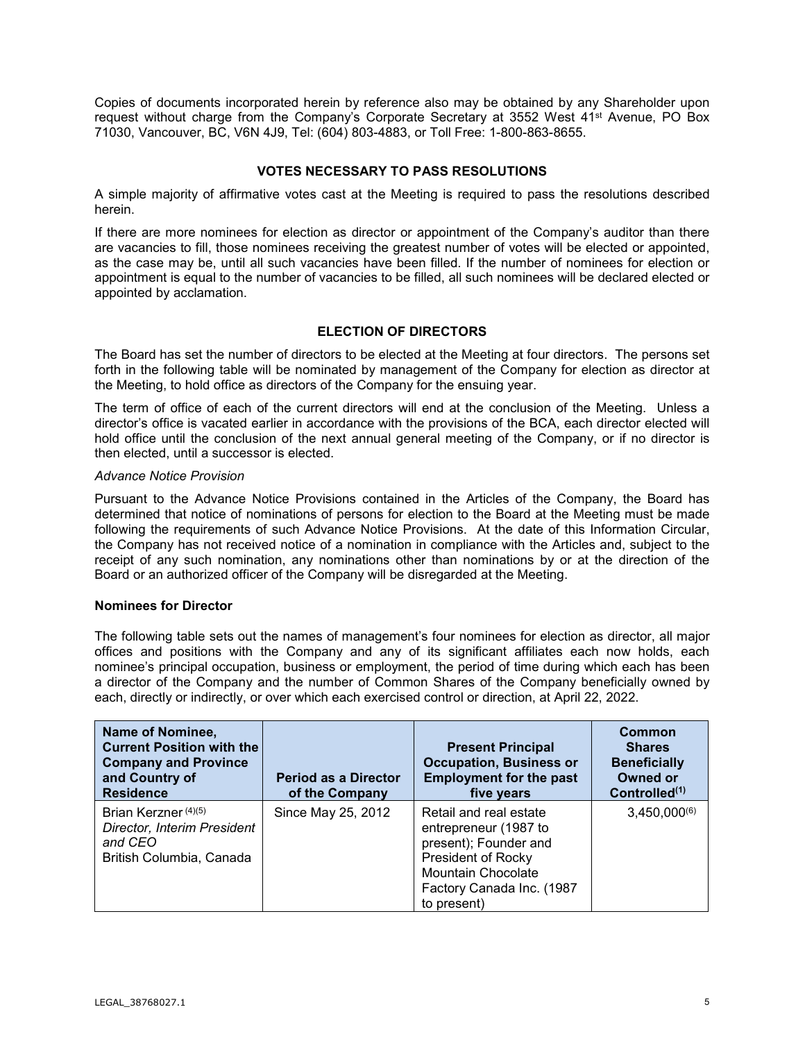Copies of documents incorporated herein by reference also may be obtained by any Shareholder upon request without charge from the Company's Corporate Secretary at 3552 West 41st Avenue, PO Box 71030, Vancouver, BC, V6N 4J9, Tel: (604) 803-4883, or Toll Free: 1-800-863-8655.

# **VOTES NECESSARY TO PASS RESOLUTIONS**

A simple majority of affirmative votes cast at the Meeting is required to pass the resolutions described herein.

If there are more nominees for election as director or appointment of the Company's auditor than there are vacancies to fill, those nominees receiving the greatest number of votes will be elected or appointed, as the case may be, until all such vacancies have been filled. If the number of nominees for election or appointment is equal to the number of vacancies to be filled, all such nominees will be declared elected or appointed by acclamation.

## **ELECTION OF DIRECTORS**

The Board has set the number of directors to be elected at the Meeting at four directors. The persons set forth in the following table will be nominated by management of the Company for election as director at the Meeting, to hold office as directors of the Company for the ensuing year.

The term of office of each of the current directors will end at the conclusion of the Meeting. Unless a director's office is vacated earlier in accordance with the provisions of the BCA, each director elected will hold office until the conclusion of the next annual general meeting of the Company, or if no director is then elected, until a successor is elected.

#### *Advance Notice Provision*

Pursuant to the Advance Notice Provisions contained in the Articles of the Company, the Board has determined that notice of nominations of persons for election to the Board at the Meeting must be made following the requirements of such Advance Notice Provisions. At the date of this Information Circular, the Company has not received notice of a nomination in compliance with the Articles and, subject to the receipt of any such nomination, any nominations other than nominations by or at the direction of the Board or an authorized officer of the Company will be disregarded at the Meeting.

## **Nominees for Director**

The following table sets out the names of management's four nominees for election as director, all major offices and positions with the Company and any of its significant affiliates each now holds, each nominee's principal occupation, business or employment, the period of time during which each has been a director of the Company and the number of Common Shares of the Company beneficially owned by each, directly or indirectly, or over which each exercised control or direction, at April 22, 2022.

| Name of Nominee,<br><b>Current Position with the</b><br><b>Company and Province</b><br>and Country of<br><b>Residence</b> | <b>Period as a Director</b><br>of the Company | <b>Present Principal</b><br><b>Occupation, Business or</b><br><b>Employment for the past</b><br>five years                                                              | Common<br><b>Shares</b><br><b>Beneficially</b><br><b>Owned or</b><br>Controlled <sup>(1)</sup> |
|---------------------------------------------------------------------------------------------------------------------------|-----------------------------------------------|-------------------------------------------------------------------------------------------------------------------------------------------------------------------------|------------------------------------------------------------------------------------------------|
| Brian Kerzner (4)(5)<br>Director, Interim President<br>and CEO<br>British Columbia, Canada                                | Since May 25, 2012                            | Retail and real estate<br>entrepreneur (1987 to<br>present); Founder and<br>President of Rocky<br><b>Mountain Chocolate</b><br>Factory Canada Inc. (1987<br>to present) | $3,450,000^{(6)}$                                                                              |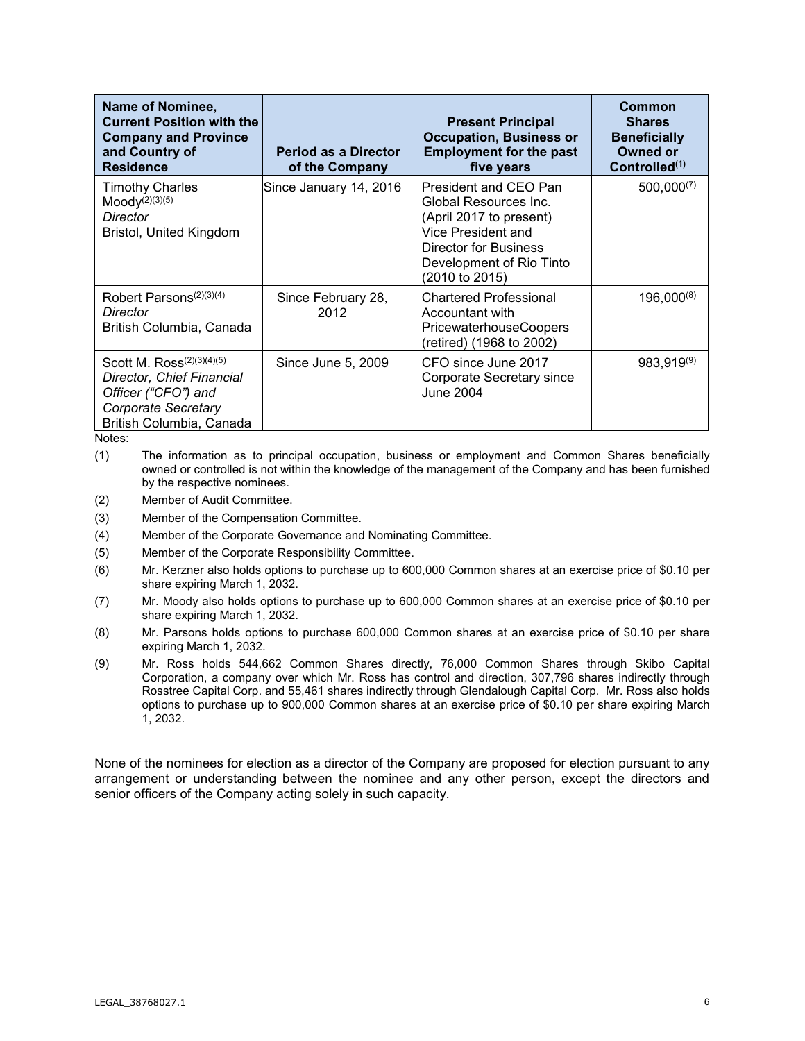| Name of Nominee,<br><b>Current Position with the</b><br><b>Company and Province</b><br>and Country of<br><b>Residence</b>             | <b>Period as a Director</b><br>of the Company | <b>Present Principal</b><br><b>Occupation, Business or</b><br><b>Employment for the past</b><br>five years                                                             | Common<br><b>Shares</b><br><b>Beneficially</b><br><b>Owned or</b><br>Controlled <sup>(1)</sup> |
|---------------------------------------------------------------------------------------------------------------------------------------|-----------------------------------------------|------------------------------------------------------------------------------------------------------------------------------------------------------------------------|------------------------------------------------------------------------------------------------|
| <b>Timothy Charles</b><br>$Mody^{(2)(3)(5)}$<br>Director<br>Bristol, United Kingdom                                                   | Since January 14, 2016                        | President and CEO Pan<br>Global Resources Inc.<br>(April 2017 to present)<br>Vice President and<br>Director for Business<br>Development of Rio Tinto<br>(2010 to 2015) | $500,000^{(7)}$                                                                                |
| Robert Parsons <sup>(2)(3)(4)</sup><br>Director<br>British Columbia, Canada                                                           | Since February 28,<br>2012                    | <b>Chartered Professional</b><br>Accountant with<br><b>PricewaterhouseCoopers</b><br>(retired) (1968 to 2002)                                                          | $196,000^{(8)}$                                                                                |
| Scott M. $Ross^{(2)(3)(4)(5)}$<br>Director, Chief Financial<br>Officer ("CFO") and<br>Corporate Secretary<br>British Columbia, Canada | Since June 5, 2009                            | CFO since June 2017<br>Corporate Secretary since<br><b>June 2004</b>                                                                                                   | 983,919(9)                                                                                     |

Notes:

(1) The information as to principal occupation, business or employment and Common Shares beneficially owned or controlled is not within the knowledge of the management of the Company and has been furnished by the respective nominees.

- (2) Member of Audit Committee.
- (3) Member of the Compensation Committee.
- (4) Member of the Corporate Governance and Nominating Committee.
- (5) Member of the Corporate Responsibility Committee.
- (6) Mr. Kerzner also holds options to purchase up to 600,000 Common shares at an exercise price of \$0.10 per share expiring March 1, 2032.
- (7) Mr. Moody also holds options to purchase up to 600,000 Common shares at an exercise price of \$0.10 per share expiring March 1, 2032.
- (8) Mr. Parsons holds options to purchase 600,000 Common shares at an exercise price of \$0.10 per share expiring March 1, 2032.
- (9) Mr. Ross holds 544,662 Common Shares directly, 76,000 Common Shares through Skibo Capital Corporation, a company over which Mr. Ross has control and direction, 307,796 shares indirectly through Rosstree Capital Corp. and 55,461 shares indirectly through Glendalough Capital Corp. Mr. Ross also holds options to purchase up to 900,000 Common shares at an exercise price of \$0.10 per share expiring March 1, 2032.

None of the nominees for election as a director of the Company are proposed for election pursuant to any arrangement or understanding between the nominee and any other person, except the directors and senior officers of the Company acting solely in such capacity.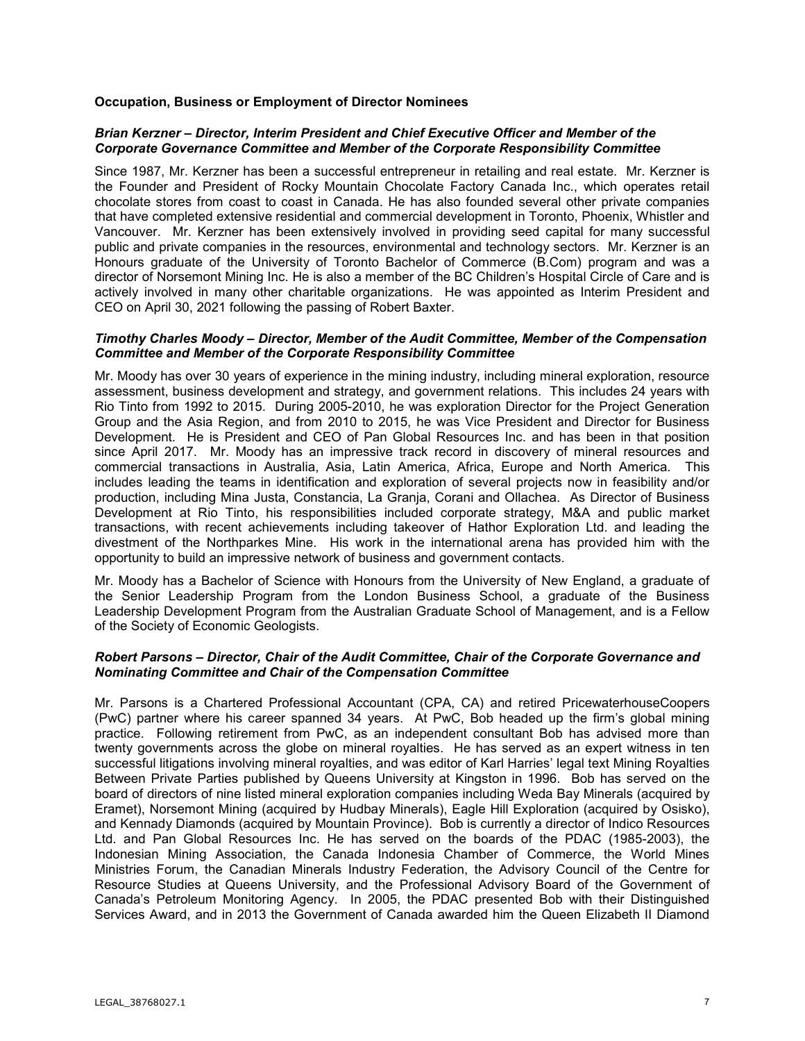## **Occupation, Business or Employment of Director Nominees**

## *Brian Kerzner – Director, Interim President and Chief Executive Officer and Member of the Corporate Governance Committee and Member of the Corporate Responsibility Committee*

Since 1987, Mr. Kerzner has been a successful entrepreneur in retailing and real estate. Mr. Kerzner is the Founder and President of Rocky Mountain Chocolate Factory Canada Inc., which operates retail chocolate stores from coast to coast in Canada. He has also founded several other private companies that have completed extensive residential and commercial development in Toronto, Phoenix, Whistler and Vancouver. Mr. Kerzner has been extensively involved in providing seed capital for many successful public and private companies in the resources, environmental and technology sectors. Mr. Kerzner is an Honours graduate of the University of Toronto Bachelor of Commerce (B.Com) program and was a director of Norsemont Mining Inc. He is also a member of the BC Children's Hospital Circle of Care and is actively involved in many other charitable organizations. He was appointed as Interim President and CEO on April 30, 2021 following the passing of Robert Baxter.

#### *Timothy Charles Moody – Director, Member of the Audit Committee, Member of the Compensation Committee and Member of the Corporate Responsibility Committee*

Mr. Moody has over 30 years of experience in the mining industry, including mineral exploration, resource assessment, business development and strategy, and government relations. This includes 24 years with Rio Tinto from 1992 to 2015. During 2005-2010, he was exploration Director for the Project Generation Group and the Asia Region, and from 2010 to 2015, he was Vice President and Director for Business Development. He is President and CEO of Pan Global Resources Inc. and has been in that position since April 2017. Mr. Moody has an impressive track record in discovery of mineral resources and commercial transactions in Australia, Asia, Latin America, Africa, Europe and North America. This includes leading the teams in identification and exploration of several projects now in feasibility and/or production, including Mina Justa, Constancia, La Granja, Corani and Ollachea. As Director of Business Development at Rio Tinto, his responsibilities included corporate strategy, M&A and public market transactions, with recent achievements including takeover of Hathor Exploration Ltd. and leading the divestment of the Northparkes Mine. His work in the international arena has provided him with the opportunity to build an impressive network of business and government contacts.

Mr. Moody has a Bachelor of Science with Honours from the University of New England, a graduate of the Senior Leadership Program from the London Business School, a graduate of the Business Leadership Development Program from the Australian Graduate School of Management, and is a Fellow of the Society of Economic Geologists.

## *Robert Parsons – Director, Chair of the Audit Committee, Chair of the Corporate Governance and Nominating Committee and Chair of the Compensation Committee*

Mr. Parsons is a Chartered Professional Accountant (CPA, CA) and retired PricewaterhouseCoopers (PwC) partner where his career spanned 34 years. At PwC, Bob headed up the firm's global mining practice. Following retirement from PwC, as an independent consultant Bob has advised more than twenty governments across the globe on mineral royalties. He has served as an expert witness in ten successful litigations involving mineral royalties, and was editor of Karl Harries' legal text Mining Royalties Between Private Parties published by Queens University at Kingston in 1996. Bob has served on the board of directors of nine listed mineral exploration companies including Weda Bay Minerals (acquired by Eramet), Norsemont Mining (acquired by Hudbay Minerals), Eagle Hill Exploration (acquired by Osisko), and Kennady Diamonds (acquired by Mountain Province). Bob is currently a director of Indico Resources Ltd. and Pan Global Resources Inc. He has served on the boards of the PDAC (1985-2003), the Indonesian Mining Association, the Canada Indonesia Chamber of Commerce, the World Mines Ministries Forum, the Canadian Minerals Industry Federation, the Advisory Council of the Centre for Resource Studies at Queens University, and the Professional Advisory Board of the Government of Canada's Petroleum Monitoring Agency. In 2005, the PDAC presented Bob with their Distinguished Services Award, and in 2013 the Government of Canada awarded him the Queen Elizabeth II Diamond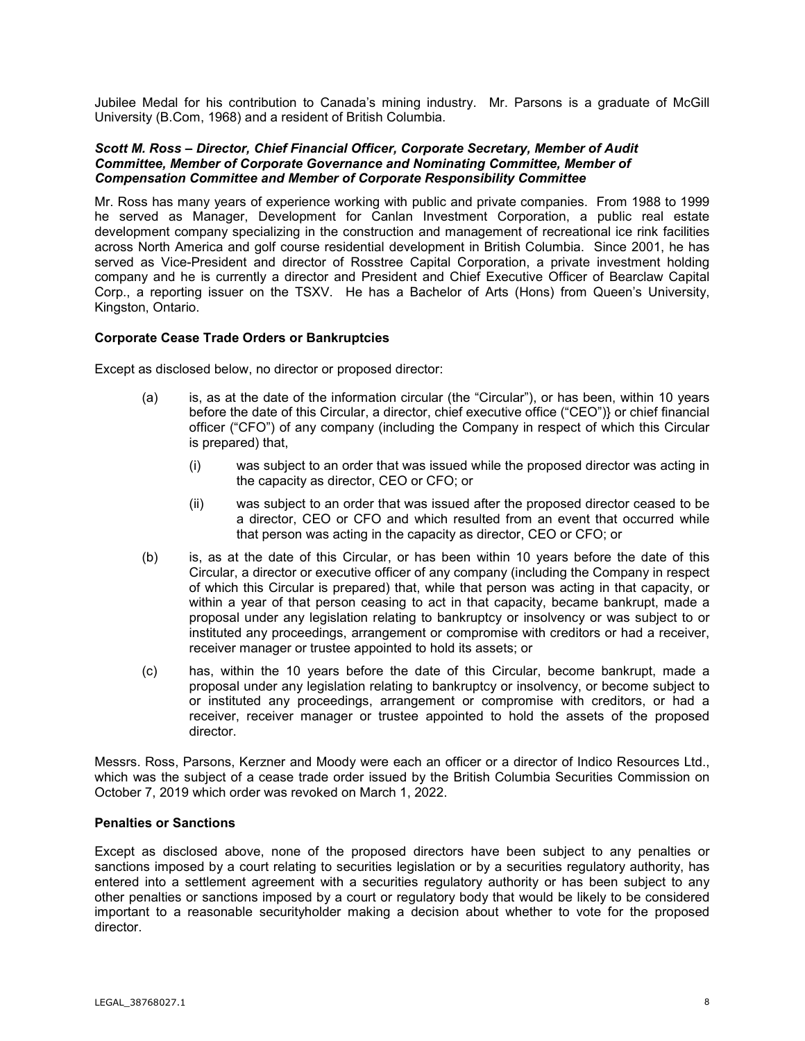Jubilee Medal for his contribution to Canada's mining industry. Mr. Parsons is a graduate of McGill University (B.Com, 1968) and a resident of British Columbia.

#### *Scott M. Ross – Director, Chief Financial Officer, Corporate Secretary, Member of Audit Committee, Member of Corporate Governance and Nominating Committee, Member of Compensation Committee and Member of Corporate Responsibility Committee*

Mr. Ross has many years of experience working with public and private companies. From 1988 to 1999 he served as Manager, Development for Canlan Investment Corporation, a public real estate development company specializing in the construction and management of recreational ice rink facilities across North America and golf course residential development in British Columbia. Since 2001, he has served as Vice-President and director of Rosstree Capital Corporation, a private investment holding company and he is currently a director and President and Chief Executive Officer of Bearclaw Capital Corp., a reporting issuer on the TSXV. He has a Bachelor of Arts (Hons) from Queen's University, Kingston, Ontario.

## **Corporate Cease Trade Orders or Bankruptcies**

Except as disclosed below, no director or proposed director:

- (a) is, as at the date of the information circular (the "Circular"), or has been, within 10 years before the date of this Circular, a director, chief executive office ("CEO")} or chief financial officer ("CFO") of any company (including the Company in respect of which this Circular is prepared) that,
	- (i) was subject to an order that was issued while the proposed director was acting in the capacity as director, CEO or CFO; or
	- (ii) was subject to an order that was issued after the proposed director ceased to be a director, CEO or CFO and which resulted from an event that occurred while that person was acting in the capacity as director, CEO or CFO; or
- (b) is, as at the date of this Circular, or has been within 10 years before the date of this Circular, a director or executive officer of any company (including the Company in respect of which this Circular is prepared) that, while that person was acting in that capacity, or within a year of that person ceasing to act in that capacity, became bankrupt, made a proposal under any legislation relating to bankruptcy or insolvency or was subject to or instituted any proceedings, arrangement or compromise with creditors or had a receiver, receiver manager or trustee appointed to hold its assets; or
- (c) has, within the 10 years before the date of this Circular, become bankrupt, made a proposal under any legislation relating to bankruptcy or insolvency, or become subject to or instituted any proceedings, arrangement or compromise with creditors, or had a receiver, receiver manager or trustee appointed to hold the assets of the proposed director.

Messrs. Ross, Parsons, Kerzner and Moody were each an officer or a director of Indico Resources Ltd., which was the subject of a cease trade order issued by the British Columbia Securities Commission on October 7, 2019 which order was revoked on March 1, 2022.

## **Penalties or Sanctions**

Except as disclosed above, none of the proposed directors have been subject to any penalties or sanctions imposed by a court relating to securities legislation or by a securities regulatory authority, has entered into a settlement agreement with a securities regulatory authority or has been subject to any other penalties or sanctions imposed by a court or regulatory body that would be likely to be considered important to a reasonable securityholder making a decision about whether to vote for the proposed director.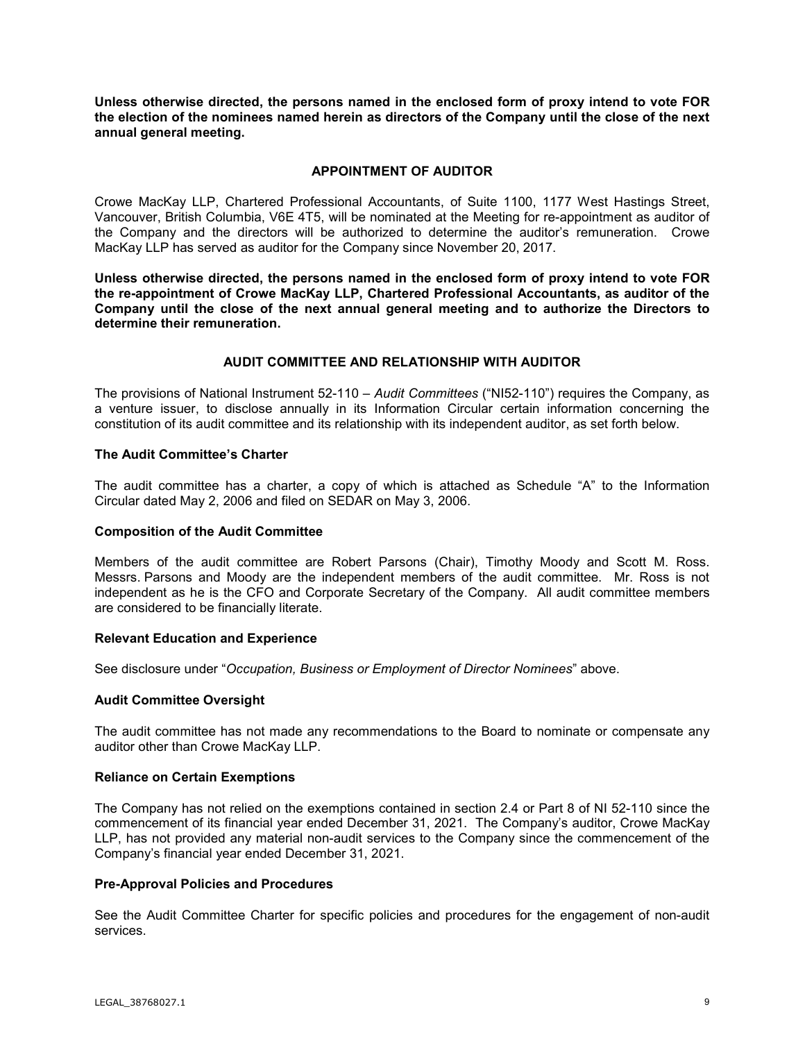**Unless otherwise directed, the persons named in the enclosed form of proxy intend to vote FOR the election of the nominees named herein as directors of the Company until the close of the next annual general meeting.**

## **APPOINTMENT OF AUDITOR**

Crowe MacKay LLP, Chartered Professional Accountants, of Suite 1100, 1177 West Hastings Street, Vancouver, British Columbia, V6E 4T5, will be nominated at the Meeting for re-appointment as auditor of the Company and the directors will be authorized to determine the auditor's remuneration. Crowe MacKay LLP has served as auditor for the Company since November 20, 2017.

**Unless otherwise directed, the persons named in the enclosed form of proxy intend to vote FOR the re-appointment of Crowe MacKay LLP, Chartered Professional Accountants, as auditor of the Company until the close of the next annual general meeting and to authorize the Directors to determine their remuneration.**

## **AUDIT COMMITTEE AND RELATIONSHIP WITH AUDITOR**

The provisions of National Instrument 52-110 – *Audit Committees* ("NI52-110") requires the Company, as a venture issuer, to disclose annually in its Information Circular certain information concerning the constitution of its audit committee and its relationship with its independent auditor, as set forth below.

## **The Audit Committee's Charter**

The audit committee has a charter, a copy of which is attached as Schedule "A" to the Information Circular dated May 2, 2006 and filed on SEDAR on May 3, 2006.

## **Composition of the Audit Committee**

Members of the audit committee are Robert Parsons (Chair), Timothy Moody and Scott M. Ross. Messrs. Parsons and Moody are the independent members of the audit committee. Mr. Ross is not independent as he is the CFO and Corporate Secretary of the Company. All audit committee members are considered to be financially literate.

## **Relevant Education and Experience**

See disclosure under "*Occupation, Business or Employment of Director Nominees*" above.

## **Audit Committee Oversight**

The audit committee has not made any recommendations to the Board to nominate or compensate any auditor other than Crowe MacKay LLP.

#### **Reliance on Certain Exemptions**

The Company has not relied on the exemptions contained in section 2.4 or Part 8 of NI 52-110 since the commencement of its financial year ended December 31, 2021. The Company's auditor, Crowe MacKay LLP, has not provided any material non-audit services to the Company since the commencement of the Company's financial year ended December 31, 2021.

## **Pre-Approval Policies and Procedures**

See the Audit Committee Charter for specific policies and procedures for the engagement of non-audit services.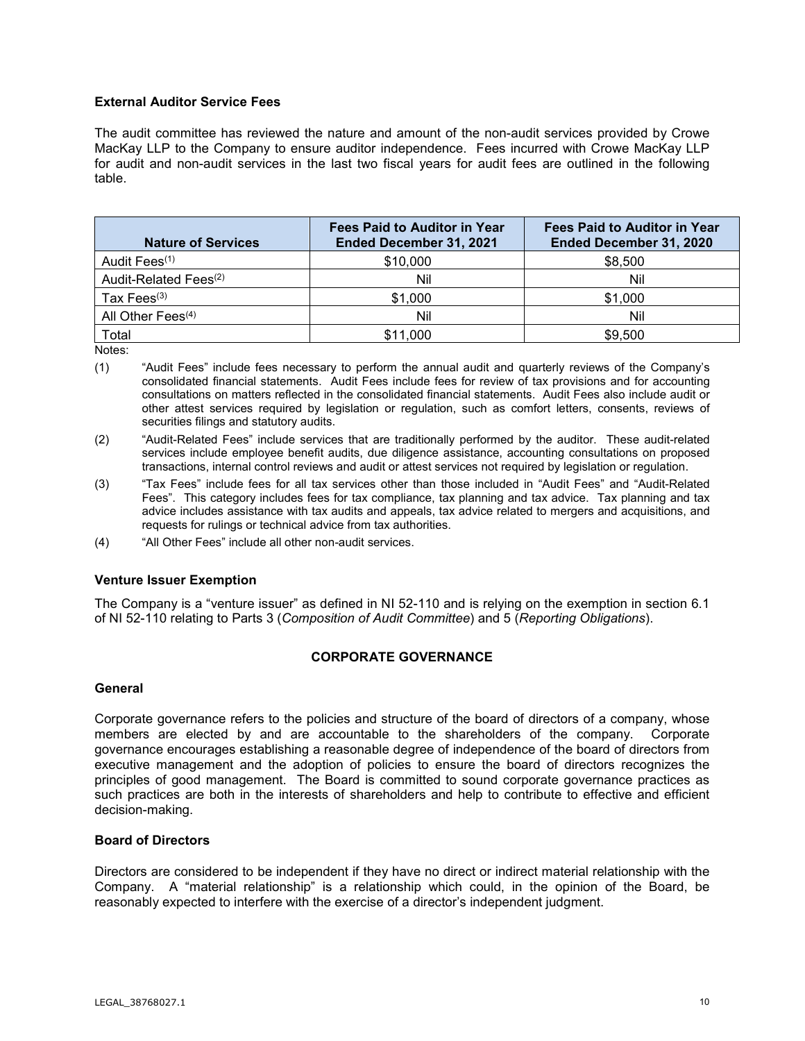# **External Auditor Service Fees**

The audit committee has reviewed the nature and amount of the non-audit services provided by Crowe MacKay LLP to the Company to ensure auditor independence. Fees incurred with Crowe MacKay LLP for audit and non-audit services in the last two fiscal years for audit fees are outlined in the following table.

| <b>Nature of Services</b>         | <b>Fees Paid to Auditor in Year</b><br>Ended December 31, 2021 | <b>Fees Paid to Auditor in Year</b><br>Ended December 31, 2020 |
|-----------------------------------|----------------------------------------------------------------|----------------------------------------------------------------|
| Audit Fees <sup>(1)</sup>         | \$10,000                                                       | \$8,500                                                        |
| Audit-Related Fees <sup>(2)</sup> | Nil                                                            | Nil                                                            |
| Tax Fees $(3)$                    | \$1,000                                                        | \$1,000                                                        |
| All Other Fees <sup>(4)</sup>     | Nil                                                            | Nil                                                            |
| Total                             | \$11,000                                                       | \$9,500                                                        |

Notes:

- (1) "Audit Fees" include fees necessary to perform the annual audit and quarterly reviews of the Company's consolidated financial statements. Audit Fees include fees for review of tax provisions and for accounting consultations on matters reflected in the consolidated financial statements. Audit Fees also include audit or other attest services required by legislation or regulation, such as comfort letters, consents, reviews of securities filings and statutory audits.
- (2) "Audit-Related Fees" include services that are traditionally performed by the auditor. These audit-related services include employee benefit audits, due diligence assistance, accounting consultations on proposed transactions, internal control reviews and audit or attest services not required by legislation or regulation.
- (3) "Tax Fees" include fees for all tax services other than those included in "Audit Fees" and "Audit-Related Fees". This category includes fees for tax compliance, tax planning and tax advice. Tax planning and tax advice includes assistance with tax audits and appeals, tax advice related to mergers and acquisitions, and requests for rulings or technical advice from tax authorities.
- (4) "All Other Fees" include all other non-audit services.

## **Venture Issuer Exemption**

The Company is a "venture issuer" as defined in NI 52-110 and is relying on the exemption in section 6.1 of NI 52-110 relating to Parts 3 (*Composition of Audit Committee*) and 5 (*Reporting Obligations*).

# **CORPORATE GOVERNANCE**

## **General**

Corporate governance refers to the policies and structure of the board of directors of a company, whose members are elected by and are accountable to the shareholders of the company. Corporate governance encourages establishing a reasonable degree of independence of the board of directors from executive management and the adoption of policies to ensure the board of directors recognizes the principles of good management. The Board is committed to sound corporate governance practices as such practices are both in the interests of shareholders and help to contribute to effective and efficient decision-making.

## **Board of Directors**

Directors are considered to be independent if they have no direct or indirect material relationship with the Company. A "material relationship" is a relationship which could, in the opinion of the Board, be reasonably expected to interfere with the exercise of a director's independent judgment.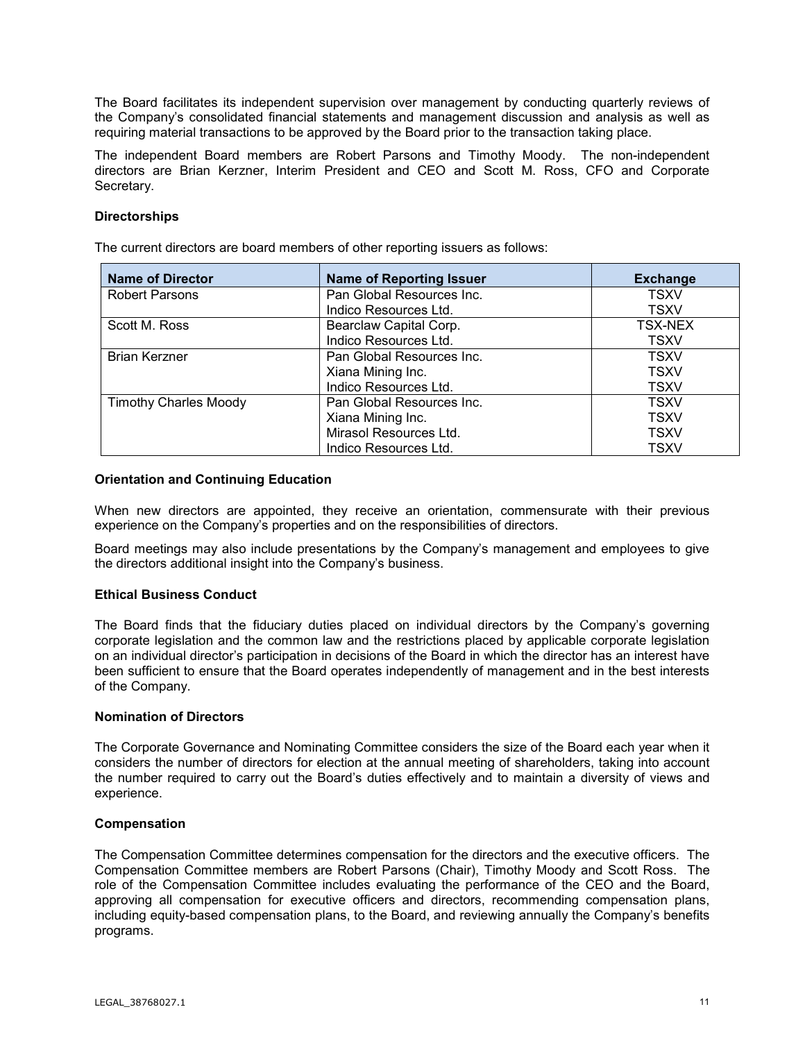The Board facilitates its independent supervision over management by conducting quarterly reviews of the Company's consolidated financial statements and management discussion and analysis as well as requiring material transactions to be approved by the Board prior to the transaction taking place.

The independent Board members are Robert Parsons and Timothy Moody. The non-independent directors are Brian Kerzner, Interim President and CEO and Scott M. Ross, CFO and Corporate Secretary.

## **Directorships**

The current directors are board members of other reporting issuers as follows:

| <b>Name of Director</b>      | <b>Name of Reporting Issuer</b> | <b>Exchange</b> |
|------------------------------|---------------------------------|-----------------|
| <b>Robert Parsons</b>        | Pan Global Resources Inc.       | <b>TSXV</b>     |
|                              | Indico Resources Ltd.           | <b>TSXV</b>     |
| Scott M. Ross                | Bearclaw Capital Corp.          | <b>TSX-NEX</b>  |
|                              | Indico Resources Ltd.           | <b>TSXV</b>     |
| <b>Brian Kerzner</b>         | Pan Global Resources Inc.       | <b>TSXV</b>     |
|                              | Xiana Mining Inc.               | <b>TSXV</b>     |
|                              | Indico Resources Ltd.           | <b>TSXV</b>     |
| <b>Timothy Charles Moody</b> | Pan Global Resources Inc.       | <b>TSXV</b>     |
|                              | Xiana Mining Inc.               | <b>TSXV</b>     |
|                              | Mirasol Resources Ltd.          | <b>TSXV</b>     |
|                              | Indico Resources Ltd.           | <b>TSXV</b>     |

## **Orientation and Continuing Education**

When new directors are appointed, they receive an orientation, commensurate with their previous experience on the Company's properties and on the responsibilities of directors.

Board meetings may also include presentations by the Company's management and employees to give the directors additional insight into the Company's business.

## **Ethical Business Conduct**

The Board finds that the fiduciary duties placed on individual directors by the Company's governing corporate legislation and the common law and the restrictions placed by applicable corporate legislation on an individual director's participation in decisions of the Board in which the director has an interest have been sufficient to ensure that the Board operates independently of management and in the best interests of the Company.

## **Nomination of Directors**

The Corporate Governance and Nominating Committee considers the size of the Board each year when it considers the number of directors for election at the annual meeting of shareholders, taking into account the number required to carry out the Board's duties effectively and to maintain a diversity of views and experience.

## **Compensation**

The Compensation Committee determines compensation for the directors and the executive officers. The Compensation Committee members are Robert Parsons (Chair), Timothy Moody and Scott Ross. The role of the Compensation Committee includes evaluating the performance of the CEO and the Board, approving all compensation for executive officers and directors, recommending compensation plans, including equity-based compensation plans, to the Board, and reviewing annually the Company's benefits programs.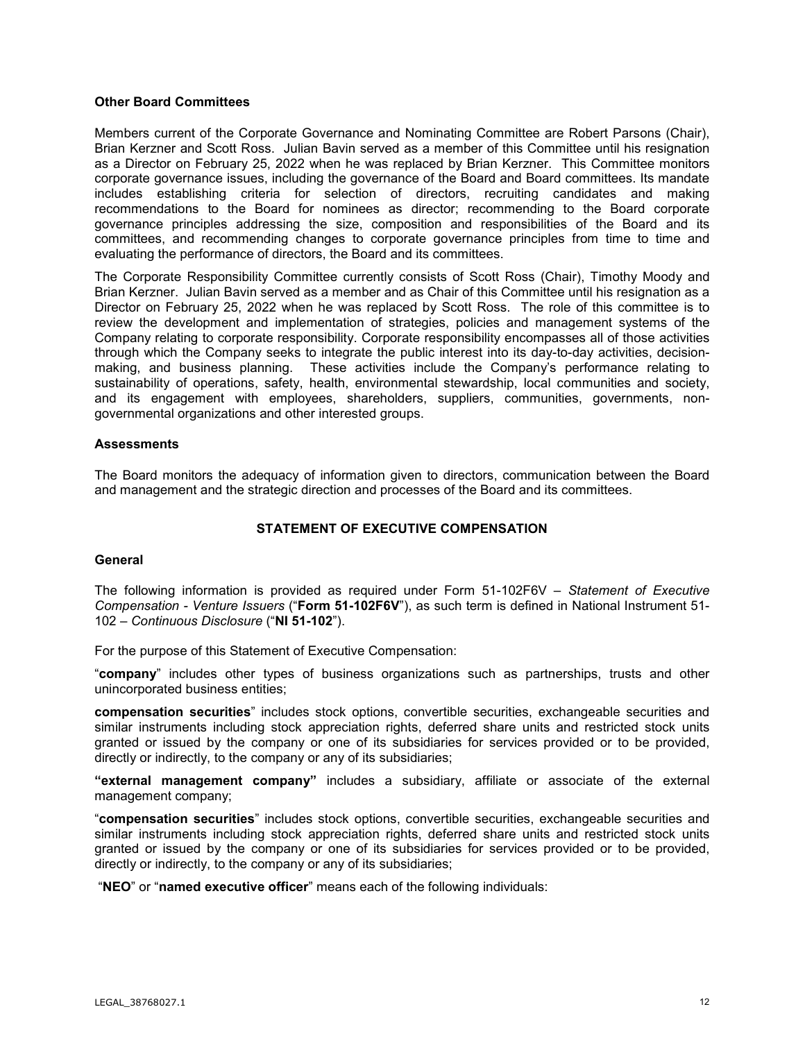## **Other Board Committees**

Members current of the Corporate Governance and Nominating Committee are Robert Parsons (Chair), Brian Kerzner and Scott Ross. Julian Bavin served as a member of this Committee until his resignation as a Director on February 25, 2022 when he was replaced by Brian Kerzner. This Committee monitors corporate governance issues, including the governance of the Board and Board committees. Its mandate includes establishing criteria for selection of directors, recruiting candidates and making recommendations to the Board for nominees as director; recommending to the Board corporate governance principles addressing the size, composition and responsibilities of the Board and its committees, and recommending changes to corporate governance principles from time to time and evaluating the performance of directors, the Board and its committees.

The Corporate Responsibility Committee currently consists of Scott Ross (Chair), Timothy Moody and Brian Kerzner. Julian Bavin served as a member and as Chair of this Committee until his resignation as a Director on February 25, 2022 when he was replaced by Scott Ross. The role of this committee is to review the development and implementation of strategies, policies and management systems of the Company relating to corporate responsibility. Corporate responsibility encompasses all of those activities through which the Company seeks to integrate the public interest into its day-to-day activities, decisionmaking, and business planning. These activities include the Company's performance relating to sustainability of operations, safety, health, environmental stewardship, local communities and society, and its engagement with employees, shareholders, suppliers, communities, governments, nongovernmental organizations and other interested groups.

#### **Assessments**

The Board monitors the adequacy of information given to directors, communication between the Board and management and the strategic direction and processes of the Board and its committees.

## **STATEMENT OF EXECUTIVE COMPENSATION**

#### **General**

The following information is provided as required under Form 51-102F6V – *Statement of Executive Compensation - Venture Issuers* ("**Form 51-102F6V**"), as such term is defined in National Instrument 51- 102 *– Continuous Disclosure* ("**NI 51-102**").

For the purpose of this Statement of Executive Compensation:

"**company**" includes other types of business organizations such as partnerships, trusts and other unincorporated business entities;

**compensation securities**" includes stock options, convertible securities, exchangeable securities and similar instruments including stock appreciation rights, deferred share units and restricted stock units granted or issued by the company or one of its subsidiaries for services provided or to be provided, directly or indirectly, to the company or any of its subsidiaries;

**"external management company"** includes a subsidiary, affiliate or associate of the external management company;

"**compensation securities**" includes stock options, convertible securities, exchangeable securities and similar instruments including stock appreciation rights, deferred share units and restricted stock units granted or issued by the company or one of its subsidiaries for services provided or to be provided, directly or indirectly, to the company or any of its subsidiaries;

"**NEO**" or "**named executive officer**" means each of the following individuals: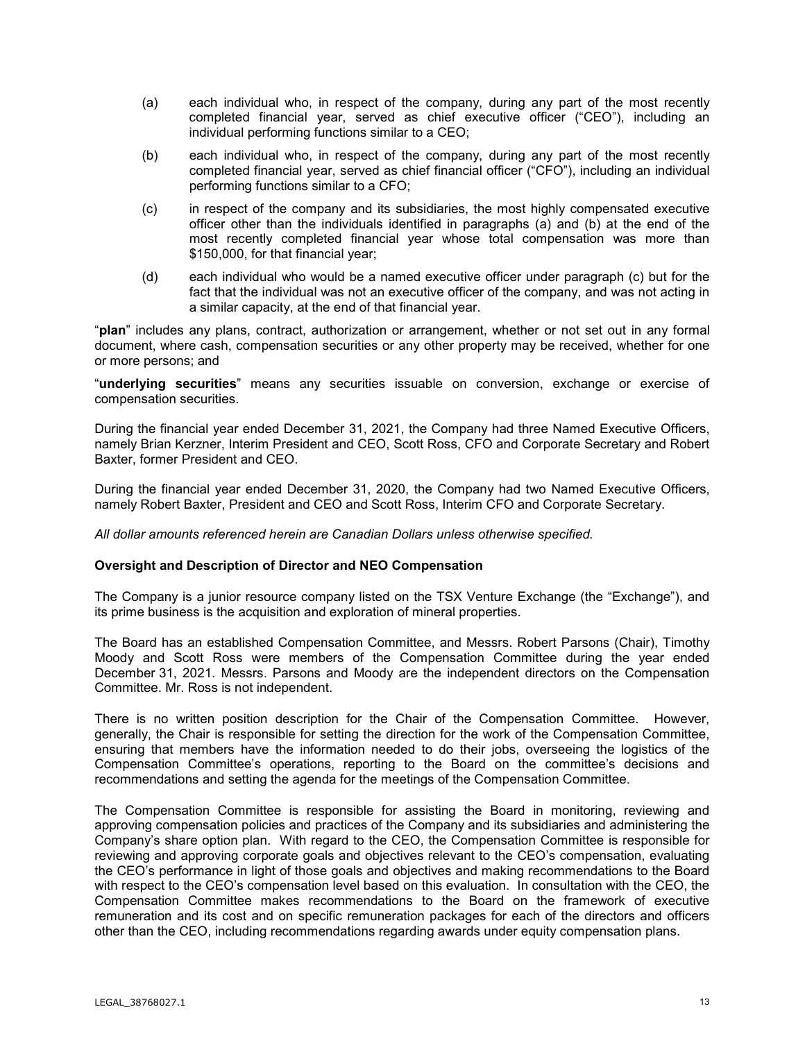- (a) each individual who, in respect of the company, during any part of the most recently completed financial year, served as chief executive officer ("CEO"), including an individual performing functions similar to a CEO;
- (b) each individual who, in respect of the company, during any part of the most recently completed financial year, served as chief financial officer ("CFO"), including an individual performing functions similar to a CFO;
- (c) in respect of the company and its subsidiaries, the most highly compensated executive officer other than the individuals identified in paragraphs (a) and (b) at the end of the most recently completed financial year whose total compensation was more than \$150,000, for that financial year;
- (d) each individual who would be a named executive officer under paragraph (c) but for the fact that the individual was not an executive officer of the company, and was not acting in a similar capacity, at the end of that financial year.

"**plan**" includes any plans, contract, authorization or arrangement, whether or not set out in any formal document, where cash, compensation securities or any other property may be received, whether for one or more persons; and

"**underlying securities**" means any securities issuable on conversion, exchange or exercise of compensation securities.

During the financial year ended December 31, 2021, the Company had three Named Executive Officers, namely Brian Kerzner, Interim President and CEO, Scott Ross, CFO and Corporate Secretary and Robert Baxter, former President and CEO.

During the financial year ended December 31, 2020, the Company had two Named Executive Officers, namely Robert Baxter, President and CEO and Scott Ross, Interim CFO and Corporate Secretary.

*All dollar amounts referenced herein are Canadian Dollars unless otherwise specified.* 

## **Oversight and Description of Director and NEO Compensation**

The Company is a junior resource company listed on the TSX Venture Exchange (the "Exchange"), and its prime business is the acquisition and exploration of mineral properties.

The Board has an established Compensation Committee, and Messrs. Robert Parsons (Chair), Timothy Moody and Scott Ross were members of the Compensation Committee during the year ended December 31, 2021. Messrs. Parsons and Moody are the independent directors on the Compensation Committee. Mr. Ross is not independent.

There is no written position description for the Chair of the Compensation Committee. However, generally, the Chair is responsible for setting the direction for the work of the Compensation Committee, ensuring that members have the information needed to do their jobs, overseeing the logistics of the Compensation Committee's operations, reporting to the Board on the committee's decisions and recommendations and setting the agenda for the meetings of the Compensation Committee.

The Compensation Committee is responsible for assisting the Board in monitoring, reviewing and approving compensation policies and practices of the Company and its subsidiaries and administering the Company's share option plan. With regard to the CEO, the Compensation Committee is responsible for reviewing and approving corporate goals and objectives relevant to the CEO's compensation, evaluating the CEO's performance in light of those goals and objectives and making recommendations to the Board with respect to the CEO's compensation level based on this evaluation. In consultation with the CEO, the Compensation Committee makes recommendations to the Board on the framework of executive remuneration and its cost and on specific remuneration packages for each of the directors and officers other than the CEO, including recommendations regarding awards under equity compensation plans.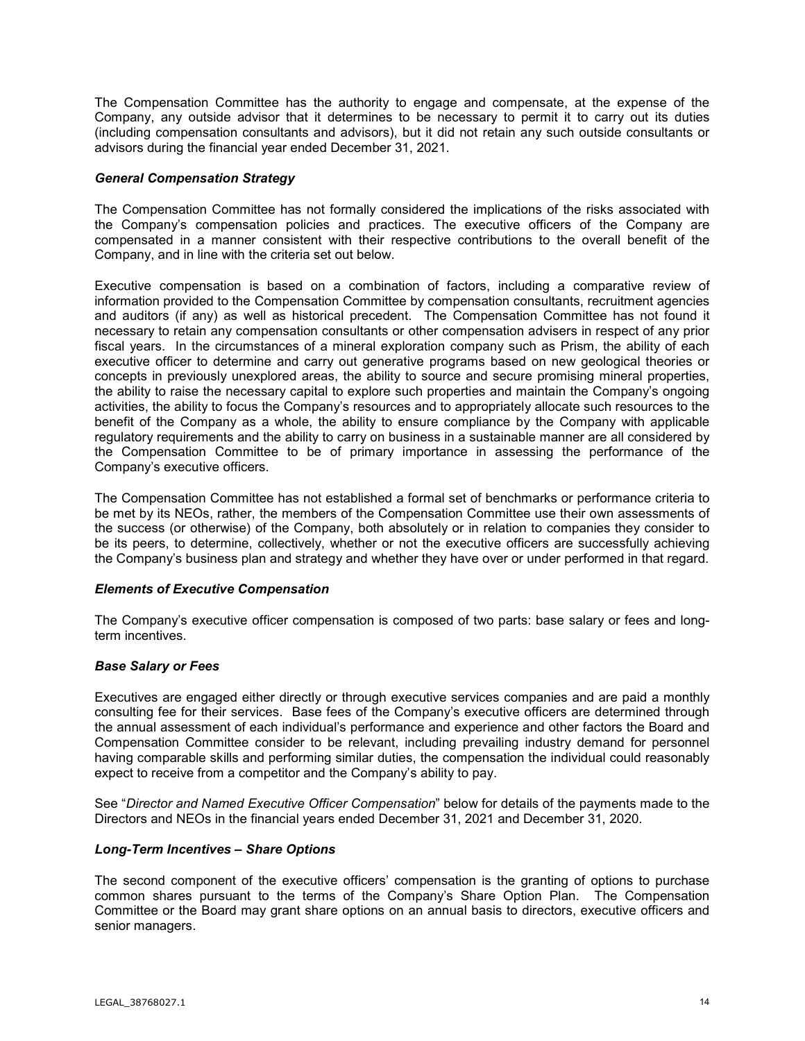The Compensation Committee has the authority to engage and compensate, at the expense of the Company, any outside advisor that it determines to be necessary to permit it to carry out its duties (including compensation consultants and advisors), but it did not retain any such outside consultants or advisors during the financial year ended December 31, 2021.

#### *General Compensation Strategy*

The Compensation Committee has not formally considered the implications of the risks associated with the Company's compensation policies and practices. The executive officers of the Company are compensated in a manner consistent with their respective contributions to the overall benefit of the Company, and in line with the criteria set out below.

Executive compensation is based on a combination of factors, including a comparative review of information provided to the Compensation Committee by compensation consultants, recruitment agencies and auditors (if any) as well as historical precedent. The Compensation Committee has not found it necessary to retain any compensation consultants or other compensation advisers in respect of any prior fiscal years. In the circumstances of a mineral exploration company such as Prism, the ability of each executive officer to determine and carry out generative programs based on new geological theories or concepts in previously unexplored areas, the ability to source and secure promising mineral properties, the ability to raise the necessary capital to explore such properties and maintain the Company's ongoing activities, the ability to focus the Company's resources and to appropriately allocate such resources to the benefit of the Company as a whole, the ability to ensure compliance by the Company with applicable regulatory requirements and the ability to carry on business in a sustainable manner are all considered by the Compensation Committee to be of primary importance in assessing the performance of the Company's executive officers.

The Compensation Committee has not established a formal set of benchmarks or performance criteria to be met by its NEOs, rather, the members of the Compensation Committee use their own assessments of the success (or otherwise) of the Company, both absolutely or in relation to companies they consider to be its peers, to determine, collectively, whether or not the executive officers are successfully achieving the Company's business plan and strategy and whether they have over or under performed in that regard.

## *Elements of Executive Compensation*

The Company's executive officer compensation is composed of two parts: base salary or fees and longterm incentives.

## *Base Salary or Fees*

Executives are engaged either directly or through executive services companies and are paid a monthly consulting fee for their services. Base fees of the Company's executive officers are determined through the annual assessment of each individual's performance and experience and other factors the Board and Compensation Committee consider to be relevant, including prevailing industry demand for personnel having comparable skills and performing similar duties, the compensation the individual could reasonably expect to receive from a competitor and the Company's ability to pay.

See "*Director and Named Executive Officer Compensation*" below for details of the payments made to the Directors and NEOs in the financial years ended December 31, 2021 and December 31, 2020.

## *Long-Term Incentives – Share Options*

The second component of the executive officers' compensation is the granting of options to purchase common shares pursuant to the terms of the Company's Share Option Plan. The Compensation Committee or the Board may grant share options on an annual basis to directors, executive officers and senior managers.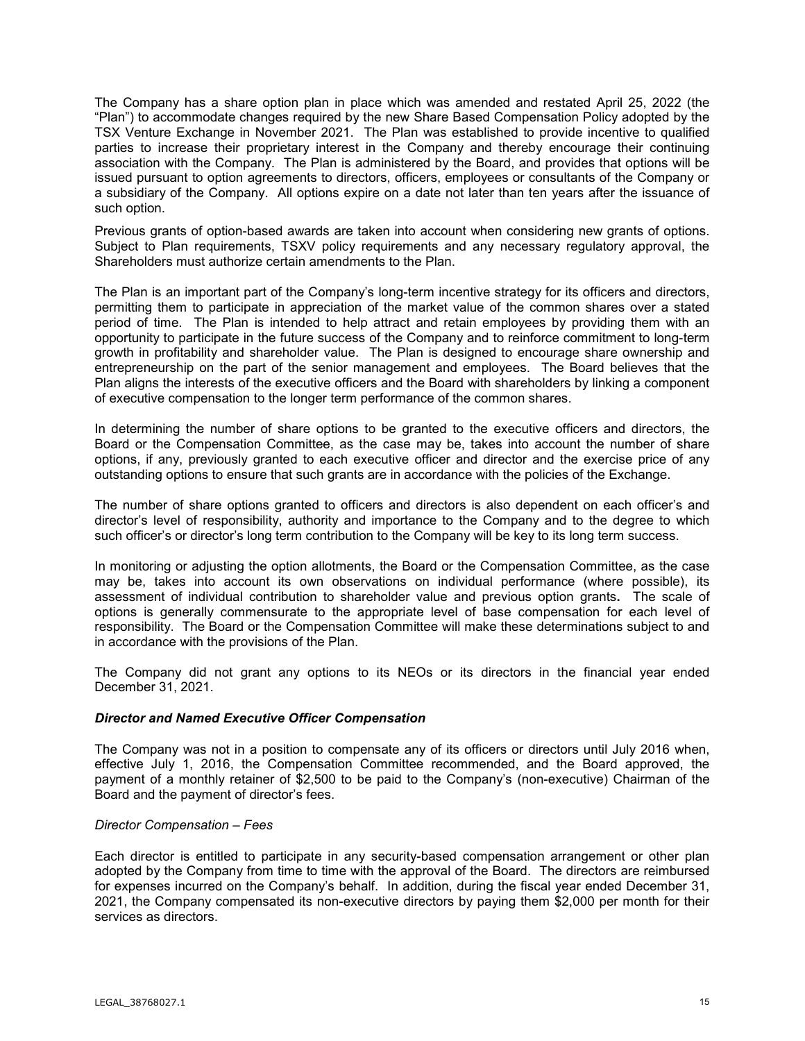The Company has a share option plan in place which was amended and restated April 25, 2022 (the "Plan") to accommodate changes required by the new Share Based Compensation Policy adopted by the TSX Venture Exchange in November 2021. The Plan was established to provide incentive to qualified parties to increase their proprietary interest in the Company and thereby encourage their continuing association with the Company. The Plan is administered by the Board, and provides that options will be issued pursuant to option agreements to directors, officers, employees or consultants of the Company or a subsidiary of the Company. All options expire on a date not later than ten years after the issuance of such option.

Previous grants of option-based awards are taken into account when considering new grants of options. Subject to Plan requirements, TSXV policy requirements and any necessary regulatory approval, the Shareholders must authorize certain amendments to the Plan.

The Plan is an important part of the Company's long-term incentive strategy for its officers and directors, permitting them to participate in appreciation of the market value of the common shares over a stated period of time. The Plan is intended to help attract and retain employees by providing them with an opportunity to participate in the future success of the Company and to reinforce commitment to long-term growth in profitability and shareholder value. The Plan is designed to encourage share ownership and entrepreneurship on the part of the senior management and employees. The Board believes that the Plan aligns the interests of the executive officers and the Board with shareholders by linking a component of executive compensation to the longer term performance of the common shares.

In determining the number of share options to be granted to the executive officers and directors, the Board or the Compensation Committee, as the case may be, takes into account the number of share options, if any, previously granted to each executive officer and director and the exercise price of any outstanding options to ensure that such grants are in accordance with the policies of the Exchange.

The number of share options granted to officers and directors is also dependent on each officer's and director's level of responsibility, authority and importance to the Company and to the degree to which such officer's or director's long term contribution to the Company will be key to its long term success.

In monitoring or adjusting the option allotments, the Board or the Compensation Committee, as the case may be, takes into account its own observations on individual performance (where possible), its assessment of individual contribution to shareholder value and previous option grants**.** The scale of options is generally commensurate to the appropriate level of base compensation for each level of responsibility. The Board or the Compensation Committee will make these determinations subject to and in accordance with the provisions of the Plan.

The Company did not grant any options to its NEOs or its directors in the financial year ended December 31, 2021.

## *Director and Named Executive Officer Compensation*

The Company was not in a position to compensate any of its officers or directors until July 2016 when, effective July 1, 2016, the Compensation Committee recommended, and the Board approved, the payment of a monthly retainer of \$2,500 to be paid to the Company's (non-executive) Chairman of the Board and the payment of director's fees.

## *Director Compensation – Fees*

Each director is entitled to participate in any security-based compensation arrangement or other plan adopted by the Company from time to time with the approval of the Board. The directors are reimbursed for expenses incurred on the Company's behalf. In addition, during the fiscal year ended December 31, 2021, the Company compensated its non-executive directors by paying them \$2,000 per month for their services as directors.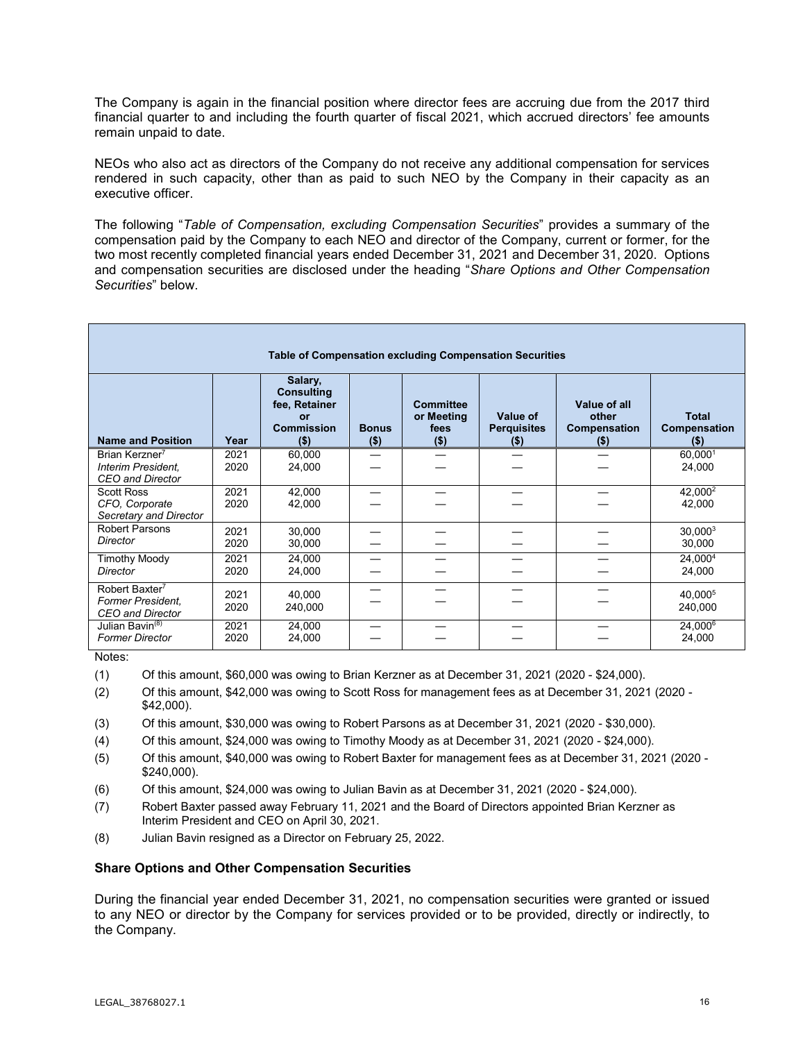The Company is again in the financial position where director fees are accruing due from the 2017 third financial quarter to and including the fourth quarter of fiscal 2021, which accrued directors' fee amounts remain unpaid to date.

NEOs who also act as directors of the Company do not receive any additional compensation for services rendered in such capacity, other than as paid to such NEO by the Company in their capacity as an executive officer.

The following "*Table of Compensation, excluding Compensation Securities*" provides a summary of the compensation paid by the Company to each NEO and director of the Company, current or former, for the two most recently completed financial years ended December 31, 2021 and December 31, 2020. Options and compensation securities are disclosed under the heading "*Share Options and Other Compensation Securities*" below.

| <b>Table of Compensation excluding Compensation Securities</b>              |              |                                                                                            |                         |                                                   |                                           |                                                  |                                         |
|-----------------------------------------------------------------------------|--------------|--------------------------------------------------------------------------------------------|-------------------------|---------------------------------------------------|-------------------------------------------|--------------------------------------------------|-----------------------------------------|
| <b>Name and Position</b>                                                    | Year         | Salary,<br><b>Consulting</b><br>fee, Retainer<br><b>or</b><br><b>Commission</b><br>$($ \$) | <b>Bonus</b><br>$($ \$) | <b>Committee</b><br>or Meeting<br>fees<br>$($ \$) | Value of<br><b>Perquisites</b><br>$($ \$) | Value of all<br>other<br>Compensation<br>$($ \$) | <b>Total</b><br>Compensation<br>$($ \$) |
| Brian Kerzner <sup>7</sup><br>Interim President,<br><b>CEO</b> and Director | 2021<br>2020 | 60,000<br>24,000                                                                           |                         |                                                   |                                           |                                                  | 60,0001<br>24,000                       |
| <b>Scott Ross</b><br>CFO, Corporate<br>Secretary and Director               | 2021<br>2020 | 42,000<br>42,000                                                                           |                         |                                                   |                                           |                                                  | 42,000 <sup>2</sup><br>42,000           |
| <b>Robert Parsons</b><br>Director                                           | 2021<br>2020 | 30,000<br>30,000                                                                           |                         |                                                   |                                           |                                                  | $30,000^3$<br>30,000                    |
| <b>Timothy Moody</b><br>Director                                            | 2021<br>2020 | 24,000<br>24,000                                                                           |                         |                                                   |                                           |                                                  | 24,0004<br>24,000                       |
| Robert Baxter <sup>7</sup><br>Former President,<br>CEO and Director         | 2021<br>2020 | 40.000<br>240,000                                                                          |                         |                                                   |                                           |                                                  | 40,000 <sup>5</sup><br>240,000          |
| Julian Bavin <sup>(8)</sup><br><b>Former Director</b>                       | 2021<br>2020 | 24,000<br>24,000                                                                           |                         |                                                   |                                           |                                                  | 24,0006<br>24,000                       |

Notes:

- (1) Of this amount, \$60,000 was owing to Brian Kerzner as at December 31, 2021 (2020 \$24,000).
- (2) Of this amount, \$42,000 was owing to Scott Ross for management fees as at December 31, 2021 (2020 \$42,000).
- (3) Of this amount, \$30,000 was owing to Robert Parsons as at December 31, 2021 (2020 \$30,000).
- (4) Of this amount, \$24,000 was owing to Timothy Moody as at December 31, 2021 (2020 \$24,000).
- (5) Of this amount, \$40,000 was owing to Robert Baxter for management fees as at December 31, 2021 (2020 \$240,000).
- (6) Of this amount, \$24,000 was owing to Julian Bavin as at December 31, 2021 (2020 \$24,000).
- (7) Robert Baxter passed away February 11, 2021 and the Board of Directors appointed Brian Kerzner as Interim President and CEO on April 30, 2021.
- (8) Julian Bavin resigned as a Director on February 25, 2022.

## **Share Options and Other Compensation Securities**

During the financial year ended December 31, 2021, no compensation securities were granted or issued to any NEO or director by the Company for services provided or to be provided, directly or indirectly, to the Company.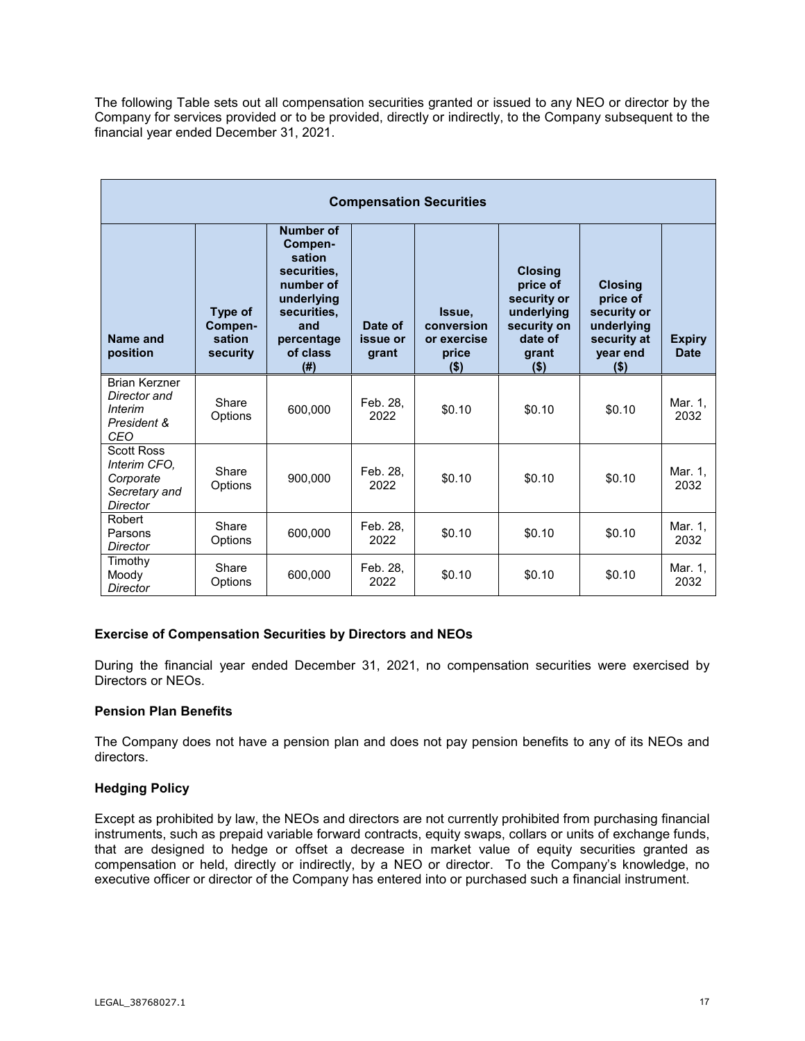The following Table sets out all compensation securities granted or issued to any NEO or director by the Company for services provided or to be provided, directly or indirectly, to the Company subsequent to the financial year ended December 31, 2021.

| <b>Compensation Securities</b>                                              |                                          |                                                                                                                                 |                              |                                                         |                                                                                                       |                                                                                               |                              |
|-----------------------------------------------------------------------------|------------------------------------------|---------------------------------------------------------------------------------------------------------------------------------|------------------------------|---------------------------------------------------------|-------------------------------------------------------------------------------------------------------|-----------------------------------------------------------------------------------------------|------------------------------|
| Name and<br>position                                                        | Type of<br>Compen-<br>sation<br>security | Number of<br>Compen-<br>sation<br>securities.<br>number of<br>underlying<br>securities.<br>and<br>percentage<br>of class<br>(#) | Date of<br>issue or<br>grant | Issue,<br>conversion<br>or exercise<br>price<br>$($ \$) | <b>Closing</b><br>price of<br>security or<br>underlying<br>security on<br>date of<br>grant<br>$($ \$) | <b>Closing</b><br>price of<br>security or<br>underlying<br>security at<br>year end<br>$($ \$) | <b>Expiry</b><br><b>Date</b> |
| <b>Brian Kerzner</b><br>Director and<br>Interim<br>President &<br>CEO       | Share<br>Options                         | 600,000                                                                                                                         | Feb. 28.<br>2022             | \$0.10                                                  | \$0.10                                                                                                | \$0.10                                                                                        | Mar. 1,<br>2032              |
| <b>Scott Ross</b><br>Interim CFO.<br>Corporate<br>Secretary and<br>Director | Share<br>Options                         | 900.000                                                                                                                         | Feb. 28,<br>2022             | \$0.10                                                  | \$0.10                                                                                                | \$0.10                                                                                        | Mar. 1,<br>2032              |
| Robert<br>Parsons<br>Director                                               | Share<br>Options                         | 600.000                                                                                                                         | Feb. 28.<br>2022             | \$0.10                                                  | \$0.10                                                                                                | \$0.10                                                                                        | Mar. 1.<br>2032              |
| Timothy<br>Moody<br>Director                                                | Share<br>Options                         | 600,000                                                                                                                         | Feb. 28,<br>2022             | \$0.10                                                  | \$0.10                                                                                                | \$0.10                                                                                        | Mar. 1,<br>2032              |

## **Exercise of Compensation Securities by Directors and NEOs**

During the financial year ended December 31, 2021, no compensation securities were exercised by Directors or NEOs.

## **Pension Plan Benefits**

The Company does not have a pension plan and does not pay pension benefits to any of its NEOs and directors.

## **Hedging Policy**

Except as prohibited by law, the NEOs and directors are not currently prohibited from purchasing financial instruments, such as prepaid variable forward contracts, equity swaps, collars or units of exchange funds, that are designed to hedge or offset a decrease in market value of equity securities granted as compensation or held, directly or indirectly, by a NEO or director. To the Company's knowledge, no executive officer or director of the Company has entered into or purchased such a financial instrument.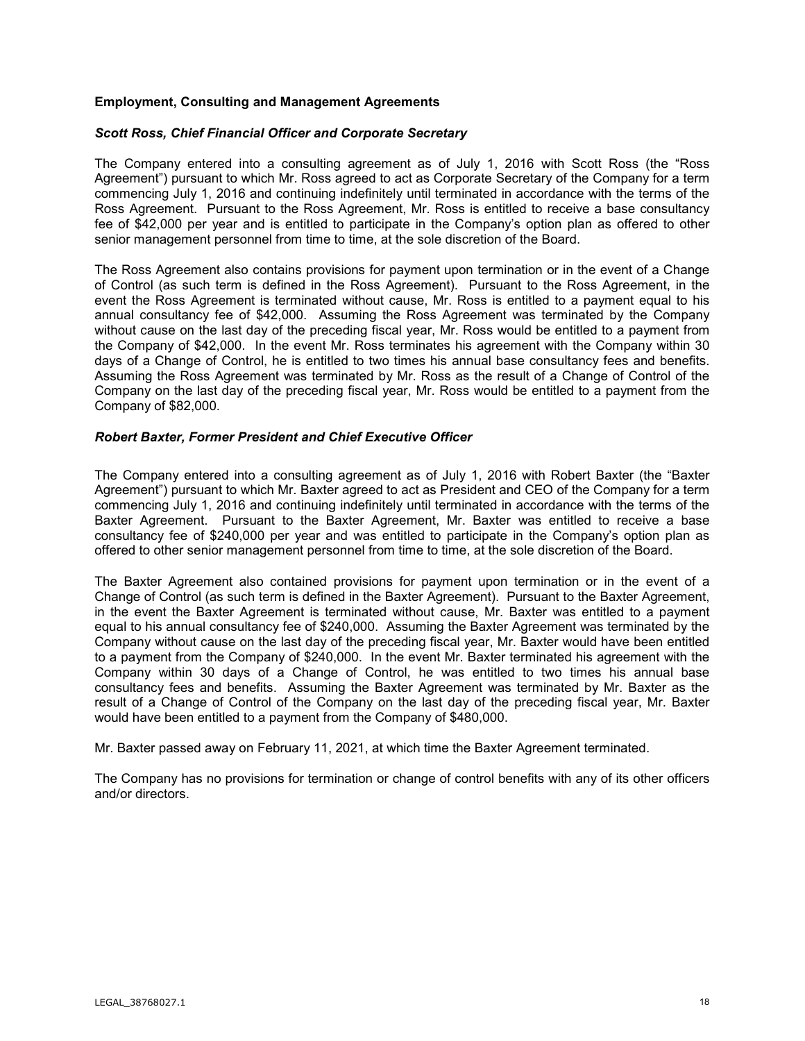## **Employment, Consulting and Management Agreements**

#### *Scott Ross, Chief Financial Officer and Corporate Secretary*

The Company entered into a consulting agreement as of July 1, 2016 with Scott Ross (the "Ross Agreement") pursuant to which Mr. Ross agreed to act as Corporate Secretary of the Company for a term commencing July 1, 2016 and continuing indefinitely until terminated in accordance with the terms of the Ross Agreement. Pursuant to the Ross Agreement, Mr. Ross is entitled to receive a base consultancy fee of \$42,000 per year and is entitled to participate in the Company's option plan as offered to other senior management personnel from time to time, at the sole discretion of the Board.

The Ross Agreement also contains provisions for payment upon termination or in the event of a Change of Control (as such term is defined in the Ross Agreement). Pursuant to the Ross Agreement, in the event the Ross Agreement is terminated without cause, Mr. Ross is entitled to a payment equal to his annual consultancy fee of \$42,000. Assuming the Ross Agreement was terminated by the Company without cause on the last day of the preceding fiscal year, Mr. Ross would be entitled to a payment from the Company of \$42,000. In the event Mr. Ross terminates his agreement with the Company within 30 days of a Change of Control, he is entitled to two times his annual base consultancy fees and benefits. Assuming the Ross Agreement was terminated by Mr. Ross as the result of a Change of Control of the Company on the last day of the preceding fiscal year, Mr. Ross would be entitled to a payment from the Company of \$82,000.

#### *Robert Baxter, Former President and Chief Executive Officer*

The Company entered into a consulting agreement as of July 1, 2016 with Robert Baxter (the "Baxter Agreement") pursuant to which Mr. Baxter agreed to act as President and CEO of the Company for a term commencing July 1, 2016 and continuing indefinitely until terminated in accordance with the terms of the Baxter Agreement. Pursuant to the Baxter Agreement, Mr. Baxter was entitled to receive a base consultancy fee of \$240,000 per year and was entitled to participate in the Company's option plan as offered to other senior management personnel from time to time, at the sole discretion of the Board.

The Baxter Agreement also contained provisions for payment upon termination or in the event of a Change of Control (as such term is defined in the Baxter Agreement). Pursuant to the Baxter Agreement, in the event the Baxter Agreement is terminated without cause, Mr. Baxter was entitled to a payment equal to his annual consultancy fee of \$240,000. Assuming the Baxter Agreement was terminated by the Company without cause on the last day of the preceding fiscal year, Mr. Baxter would have been entitled to a payment from the Company of \$240,000. In the event Mr. Baxter terminated his agreement with the Company within 30 days of a Change of Control, he was entitled to two times his annual base consultancy fees and benefits. Assuming the Baxter Agreement was terminated by Mr. Baxter as the result of a Change of Control of the Company on the last day of the preceding fiscal year, Mr. Baxter would have been entitled to a payment from the Company of \$480,000.

Mr. Baxter passed away on February 11, 2021, at which time the Baxter Agreement terminated.

The Company has no provisions for termination or change of control benefits with any of its other officers and/or directors.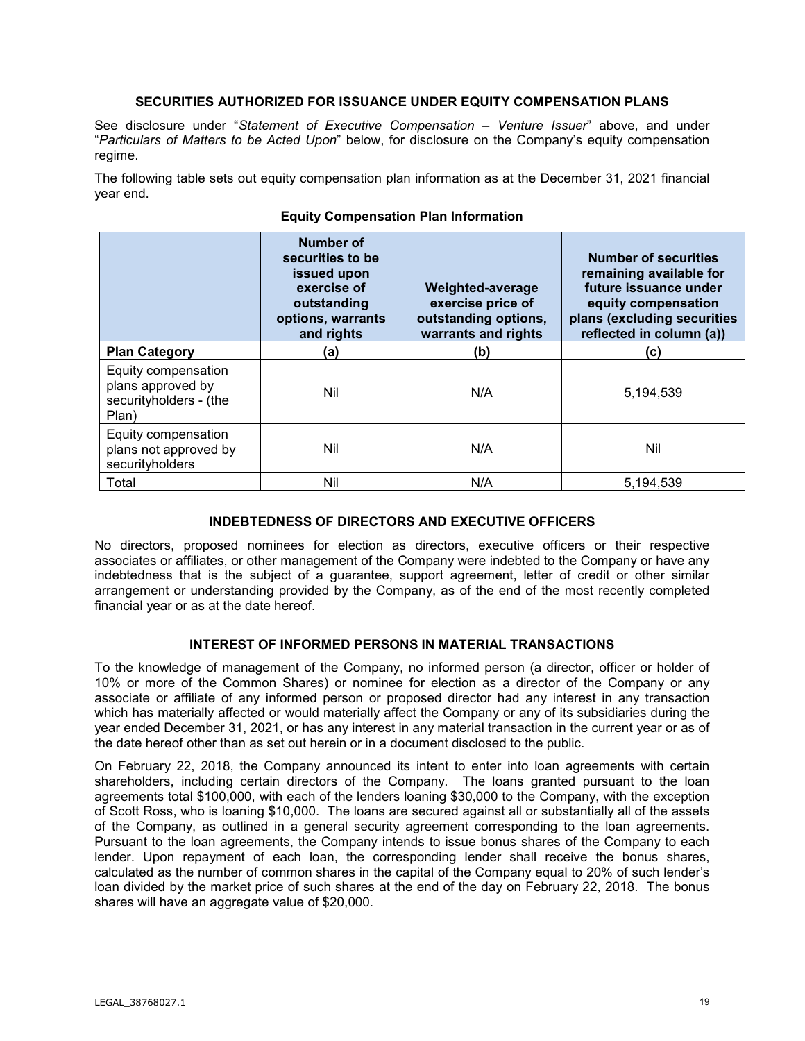## **SECURITIES AUTHORIZED FOR ISSUANCE UNDER EQUITY COMPENSATION PLANS**

See disclosure under "*Statement of Executive Compensation – Venture Issuer*" above, and under "*Particulars of Matters to be Acted Upon*" below, for disclosure on the Company's equity compensation regime.

The following table sets out equity compensation plan information as at the December 31, 2021 financial year end.

|                                                                             | Number of<br>securities to be<br>issued upon<br>exercise of<br>outstanding<br>options, warrants<br>and rights | <b>Weighted-average</b><br>exercise price of<br>outstanding options,<br>warrants and rights | <b>Number of securities</b><br>remaining available for<br>future issuance under<br>equity compensation<br>plans (excluding securities<br>reflected in column (a)) |
|-----------------------------------------------------------------------------|---------------------------------------------------------------------------------------------------------------|---------------------------------------------------------------------------------------------|-------------------------------------------------------------------------------------------------------------------------------------------------------------------|
| <b>Plan Category</b>                                                        | (a)                                                                                                           | (b)                                                                                         | (c)                                                                                                                                                               |
| Equity compensation<br>plans approved by<br>securityholders - (the<br>Plan) | Nil                                                                                                           | N/A                                                                                         | 5,194,539                                                                                                                                                         |
| Equity compensation<br>plans not approved by<br>securityholders             | Nil                                                                                                           | N/A                                                                                         | Nil                                                                                                                                                               |
| Total                                                                       | Nil                                                                                                           | N/A                                                                                         | 5,194,539                                                                                                                                                         |

## **Equity Compensation Plan Information**

# **INDEBTEDNESS OF DIRECTORS AND EXECUTIVE OFFICERS**

No directors, proposed nominees for election as directors, executive officers or their respective associates or affiliates, or other management of the Company were indebted to the Company or have any indebtedness that is the subject of a guarantee, support agreement, letter of credit or other similar arrangement or understanding provided by the Company, as of the end of the most recently completed financial year or as at the date hereof.

## **INTEREST OF INFORMED PERSONS IN MATERIAL TRANSACTIONS**

To the knowledge of management of the Company, no informed person (a director, officer or holder of 10% or more of the Common Shares) or nominee for election as a director of the Company or any associate or affiliate of any informed person or proposed director had any interest in any transaction which has materially affected or would materially affect the Company or any of its subsidiaries during the year ended December 31, 2021, or has any interest in any material transaction in the current year or as of the date hereof other than as set out herein or in a document disclosed to the public.

On February 22, 2018, the Company announced its intent to enter into loan agreements with certain shareholders, including certain directors of the Company. The loans granted pursuant to the loan agreements total \$100,000, with each of the lenders loaning \$30,000 to the Company, with the exception of Scott Ross, who is loaning \$10,000. The loans are secured against all or substantially all of the assets of the Company, as outlined in a general security agreement corresponding to the loan agreements. Pursuant to the loan agreements, the Company intends to issue bonus shares of the Company to each lender. Upon repayment of each loan, the corresponding lender shall receive the bonus shares, calculated as the number of common shares in the capital of the Company equal to 20% of such lender's loan divided by the market price of such shares at the end of the day on February 22, 2018. The bonus shares will have an aggregate value of \$20,000.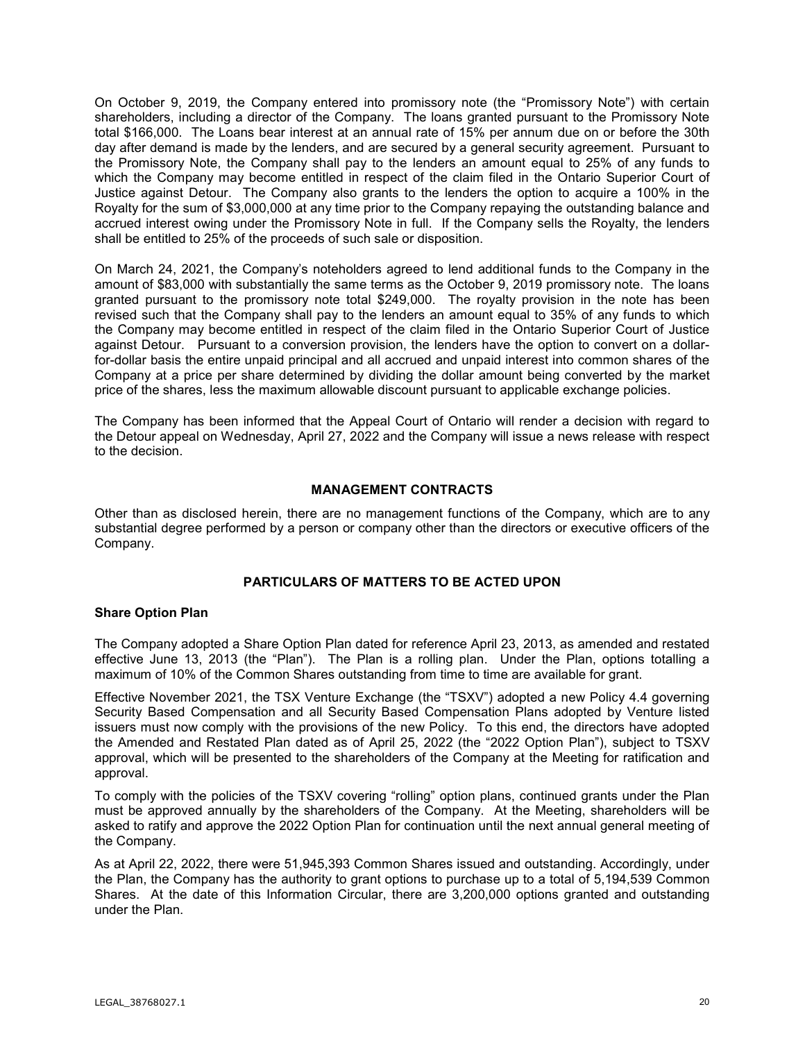On October 9, 2019, the Company entered into promissory note (the "Promissory Note") with certain shareholders, including a director of the Company. The loans granted pursuant to the Promissory Note total \$166,000. The Loans bear interest at an annual rate of 15% per annum due on or before the 30th day after demand is made by the lenders, and are secured by a general security agreement. Pursuant to the Promissory Note, the Company shall pay to the lenders an amount equal to 25% of any funds to which the Company may become entitled in respect of the claim filed in the Ontario Superior Court of Justice against Detour. The Company also grants to the lenders the option to acquire a 100% in the Royalty for the sum of \$3,000,000 at any time prior to the Company repaying the outstanding balance and accrued interest owing under the Promissory Note in full. If the Company sells the Royalty, the lenders shall be entitled to 25% of the proceeds of such sale or disposition.

On March 24, 2021, the Company's noteholders agreed to lend additional funds to the Company in the amount of \$83,000 with substantially the same terms as the October 9, 2019 promissory note. The loans granted pursuant to the promissory note total \$249,000. The royalty provision in the note has been revised such that the Company shall pay to the lenders an amount equal to 35% of any funds to which the Company may become entitled in respect of the claim filed in the Ontario Superior Court of Justice against Detour. Pursuant to a conversion provision, the lenders have the option to convert on a dollarfor-dollar basis the entire unpaid principal and all accrued and unpaid interest into common shares of the Company at a price per share determined by dividing the dollar amount being converted by the market price of the shares, less the maximum allowable discount pursuant to applicable exchange policies.

The Company has been informed that the Appeal Court of Ontario will render a decision with regard to the Detour appeal on Wednesday, April 27, 2022 and the Company will issue a news release with respect to the decision.

## **MANAGEMENT CONTRACTS**

Other than as disclosed herein, there are no management functions of the Company, which are to any substantial degree performed by a person or company other than the directors or executive officers of the Company.

# **PARTICULARS OF MATTERS TO BE ACTED UPON**

## **Share Option Plan**

The Company adopted a Share Option Plan dated for reference April 23, 2013, as amended and restated effective June 13, 2013 (the "Plan"). The Plan is a rolling plan. Under the Plan, options totalling a maximum of 10% of the Common Shares outstanding from time to time are available for grant.

Effective November 2021, the TSX Venture Exchange (the "TSXV") adopted a new Policy 4.4 governing Security Based Compensation and all Security Based Compensation Plans adopted by Venture listed issuers must now comply with the provisions of the new Policy. To this end, the directors have adopted the Amended and Restated Plan dated as of April 25, 2022 (the "2022 Option Plan"), subject to TSXV approval, which will be presented to the shareholders of the Company at the Meeting for ratification and approval.

To comply with the policies of the TSXV covering "rolling" option plans, continued grants under the Plan must be approved annually by the shareholders of the Company. At the Meeting, shareholders will be asked to ratify and approve the 2022 Option Plan for continuation until the next annual general meeting of the Company.

As at April 22, 2022, there were 51,945,393 Common Shares issued and outstanding. Accordingly, under the Plan, the Company has the authority to grant options to purchase up to a total of 5,194,539 Common Shares. At the date of this Information Circular, there are 3,200,000 options granted and outstanding under the Plan.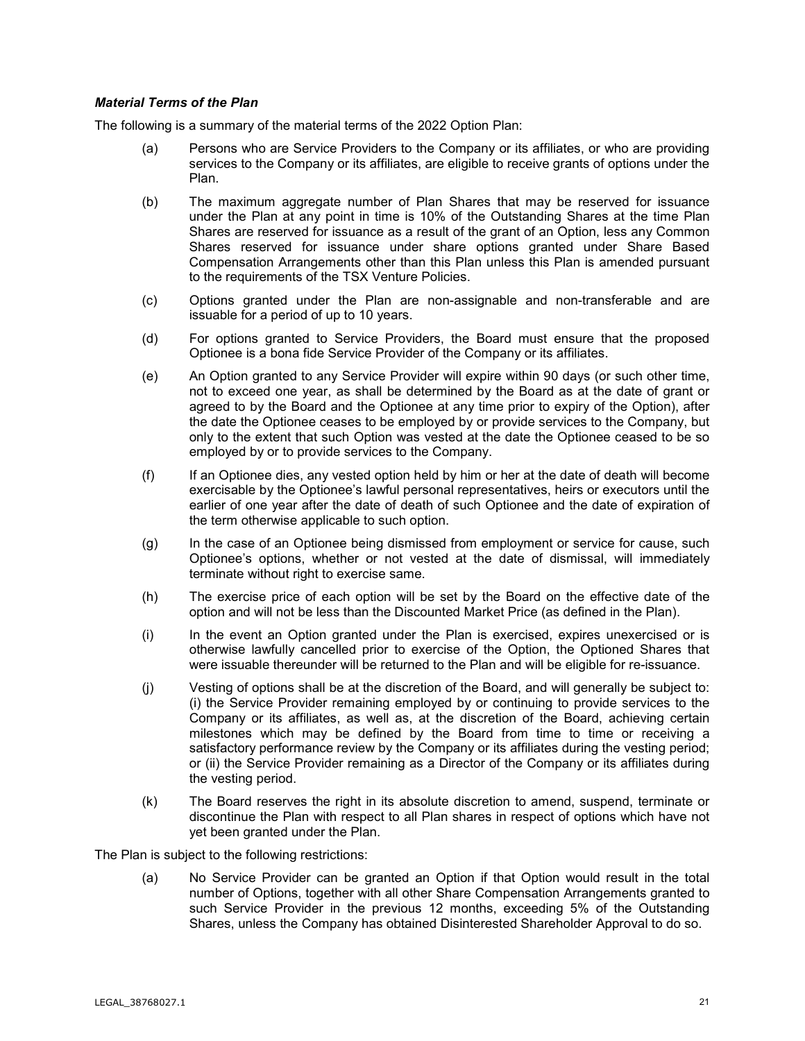## *Material Terms of the Plan*

The following is a summary of the material terms of the 2022 Option Plan:

- (a) Persons who are Service Providers to the Company or its affiliates, or who are providing services to the Company or its affiliates, are eligible to receive grants of options under the Plan.
- (b) The maximum aggregate number of Plan Shares that may be reserved for issuance under the Plan at any point in time is 10% of the Outstanding Shares at the time Plan Shares are reserved for issuance as a result of the grant of an Option, less any Common Shares reserved for issuance under share options granted under Share Based Compensation Arrangements other than this Plan unless this Plan is amended pursuant to the requirements of the TSX Venture Policies.
- (c) Options granted under the Plan are non-assignable and non-transferable and are issuable for a period of up to 10 years.
- (d) For options granted to Service Providers, the Board must ensure that the proposed Optionee is a bona fide Service Provider of the Company or its affiliates.
- (e) An Option granted to any Service Provider will expire within 90 days (or such other time, not to exceed one year, as shall be determined by the Board as at the date of grant or agreed to by the Board and the Optionee at any time prior to expiry of the Option), after the date the Optionee ceases to be employed by or provide services to the Company, but only to the extent that such Option was vested at the date the Optionee ceased to be so employed by or to provide services to the Company.
- (f) If an Optionee dies, any vested option held by him or her at the date of death will become exercisable by the Optionee's lawful personal representatives, heirs or executors until the earlier of one year after the date of death of such Optionee and the date of expiration of the term otherwise applicable to such option.
- (g) In the case of an Optionee being dismissed from employment or service for cause, such Optionee's options, whether or not vested at the date of dismissal, will immediately terminate without right to exercise same.
- (h) The exercise price of each option will be set by the Board on the effective date of the option and will not be less than the Discounted Market Price (as defined in the Plan).
- (i) In the event an Option granted under the Plan is exercised, expires unexercised or is otherwise lawfully cancelled prior to exercise of the Option, the Optioned Shares that were issuable thereunder will be returned to the Plan and will be eligible for re-issuance.
- (j) Vesting of options shall be at the discretion of the Board, and will generally be subject to: (i) the Service Provider remaining employed by or continuing to provide services to the Company or its affiliates, as well as, at the discretion of the Board, achieving certain milestones which may be defined by the Board from time to time or receiving a satisfactory performance review by the Company or its affiliates during the vesting period; or (ii) the Service Provider remaining as a Director of the Company or its affiliates during the vesting period.
- (k) The Board reserves the right in its absolute discretion to amend, suspend, terminate or discontinue the Plan with respect to all Plan shares in respect of options which have not yet been granted under the Plan.

The Plan is subject to the following restrictions:

(a) No Service Provider can be granted an Option if that Option would result in the total number of Options, together with all other Share Compensation Arrangements granted to such Service Provider in the previous 12 months, exceeding 5% of the Outstanding Shares, unless the Company has obtained Disinterested Shareholder Approval to do so.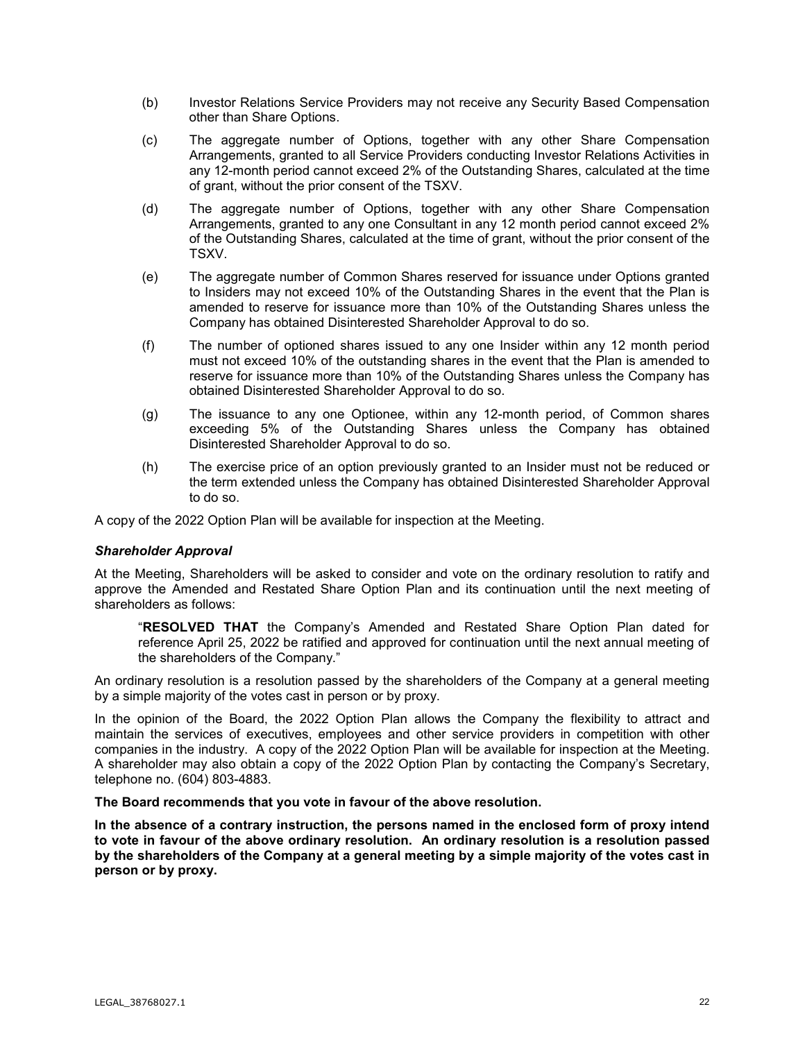- (b) Investor Relations Service Providers may not receive any Security Based Compensation other than Share Options.
- (c) The aggregate number of Options, together with any other Share Compensation Arrangements, granted to all Service Providers conducting Investor Relations Activities in any 12-month period cannot exceed 2% of the Outstanding Shares, calculated at the time of grant, without the prior consent of the TSXV.
- (d) The aggregate number of Options, together with any other Share Compensation Arrangements, granted to any one Consultant in any 12 month period cannot exceed 2% of the Outstanding Shares, calculated at the time of grant, without the prior consent of the TSXV.
- (e) The aggregate number of Common Shares reserved for issuance under Options granted to Insiders may not exceed 10% of the Outstanding Shares in the event that the Plan is amended to reserve for issuance more than 10% of the Outstanding Shares unless the Company has obtained Disinterested Shareholder Approval to do so.
- (f) The number of optioned shares issued to any one Insider within any 12 month period must not exceed 10% of the outstanding shares in the event that the Plan is amended to reserve for issuance more than 10% of the Outstanding Shares unless the Company has obtained Disinterested Shareholder Approval to do so.
- (g) The issuance to any one Optionee, within any 12-month period, of Common shares exceeding 5% of the Outstanding Shares unless the Company has obtained Disinterested Shareholder Approval to do so.
- (h) The exercise price of an option previously granted to an Insider must not be reduced or the term extended unless the Company has obtained Disinterested Shareholder Approval to do so.

A copy of the 2022 Option Plan will be available for inspection at the Meeting.

## *Shareholder Approval*

At the Meeting, Shareholders will be asked to consider and vote on the ordinary resolution to ratify and approve the Amended and Restated Share Option Plan and its continuation until the next meeting of shareholders as follows:

"**RESOLVED THAT** the Company's Amended and Restated Share Option Plan dated for reference April 25, 2022 be ratified and approved for continuation until the next annual meeting of the shareholders of the Company."

An ordinary resolution is a resolution passed by the shareholders of the Company at a general meeting by a simple majority of the votes cast in person or by proxy.

In the opinion of the Board, the 2022 Option Plan allows the Company the flexibility to attract and maintain the services of executives, employees and other service providers in competition with other companies in the industry. A copy of the 2022 Option Plan will be available for inspection at the Meeting. A shareholder may also obtain a copy of the 2022 Option Plan by contacting the Company's Secretary, telephone no. (604) 803-4883.

## **The Board recommends that you vote in favour of the above resolution.**

**In the absence of a contrary instruction, the persons named in the enclosed form of proxy intend to vote in favour of the above ordinary resolution. An ordinary resolution is a resolution passed by the shareholders of the Company at a general meeting by a simple majority of the votes cast in person or by proxy.**